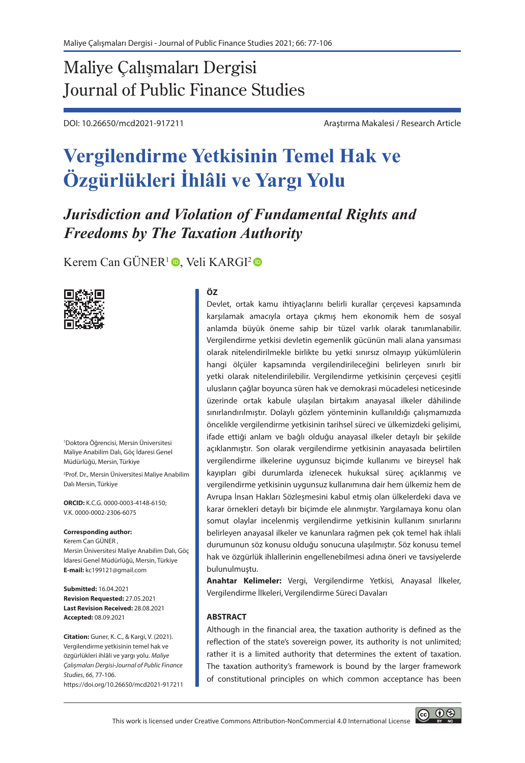# Maliye Çalışmaları Dergisi Journal of Public Finance Studies

DOI: 10.26650/mcd2021-917211 Araştırma Makalesi / Research Article

# **Vergilendirme Yetkisinin Temel Hak ve Özgürlükleri İhlâli ve Yargı Yolu**

*Jurisdiction and Violation of Fundamental Rights and Freedoms by The Taxation Authority* 

Kerem Can GÜNER<sup>1</sup><sup>O</sup>, Veli KARGI<sup>2</sup><sup>O</sup>



1 Doktora Öğrencisi, Mersin Üniversitesi Maliye Anabilim Dalı, Göç İdaresi Genel Müdürlüğü, Mersin, Türkiye

2 Prof. Dr., Mersin Üniversitesi Maliye Anabilim Dalı Mersin, Türkiye

**ORCID:** K.C.G. 0000-0003-4148-6150; V.K. 0000-0002-2306-6075

#### **Corresponding author:**

Kerem Can GÜNER , Mersin Üniversitesi Maliye Anabilim Dalı, Göç İdaresi Genel Müdürlüğü, Mersin, Türkiye **E-mail:** kc199121@gmail.com

**Submitted:** 16.04.2021 **Revision Requested:** 27.05.2021 **Last Revision Received:** 28.08.2021 **Accepted:** 08.09.2021

**Citation:** Guner, K. C., & Kargi, V. (2021). Vergilendirme yetkisinin temel hak ve özgürlükleri ihlâli ve yargı yolu. *Maliye Çalışmaları Dergisi-Journal of Public Finance Studies*, *66*, 77-106. https://doi.org/10.26650/mcd2021-917211

#### **ÖZ**

Devlet, ortak kamu ihtiyaçlarını belirli kurallar çerçevesi kapsamında karşılamak amacıyla ortaya çıkmış hem ekonomik hem de sosyal anlamda büyük öneme sahip bir tüzel varlık olarak tanımlanabilir. Vergilendirme yetkisi devletin egemenlik gücünün mali alana yansıması olarak nitelendirilmekle birlikte bu yetki sınırsız olmayıp yükümlülerin hangi ölçüler kapsamında vergilendirileceğini belirleyen sınırlı bir yetki olarak nitelendirilebilir. Vergilendirme yetkisinin çerçevesi çeşitli ulusların çağlar boyunca süren hak ve demokrasi mücadelesi neticesinde üzerinde ortak kabule ulaşılan birtakım anayasal ilkeler dâhilinde sınırlandırılmıştır. Dolaylı gözlem yönteminin kullanıldığı çalışmamızda öncelikle vergilendirme yetkisinin tarihsel süreci ve ülkemizdeki gelişimi, ifade ettiği anlam ve bağlı olduğu anayasal ilkeler detaylı bir şekilde açıklanmıştır. Son olarak vergilendirme yetkisinin anayasada belirtilen vergilendirme ilkelerine uygunsuz biçimde kullanımı ve bireysel hak kayıpları gibi durumlarda izlenecek hukuksal süreç açıklanmış ve vergilendirme yetkisinin uygunsuz kullanımına dair hem ülkemiz hem de Avrupa İnsan Hakları Sözleşmesini kabul etmiş olan ülkelerdeki dava ve karar örnekleri detaylı bir biçimde ele alınmıştır. Yargılamaya konu olan somut olaylar incelenmiş vergilendirme yetkisinin kullanım sınırlarını belirleyen anayasal ilkeler ve kanunlara rağmen pek çok temel hak ihlali durumunun söz konusu olduğu sonucuna ulaşılmıştır. Söz konusu temel hak ve özgürlük ihlallerinin engellenebilmesi adına öneri ve tavsiyelerde bulunulmuştu.

**Anahtar Kelimeler:** Vergi, Vergilendirme Yetkisi, Anayasal İlkeler, Vergilendirme İlkeleri, Vergilendirme Süreci Davaları

#### **ABSTRACT**

Although in the financial area, the taxation authority is defined as the reflection of the state's sovereign power, its authority is not unlimited; rather it is a limited authority that determines the extent of taxation. The taxation authority's framework is bound by the larger framework of constitutional principles on which common acceptance has been

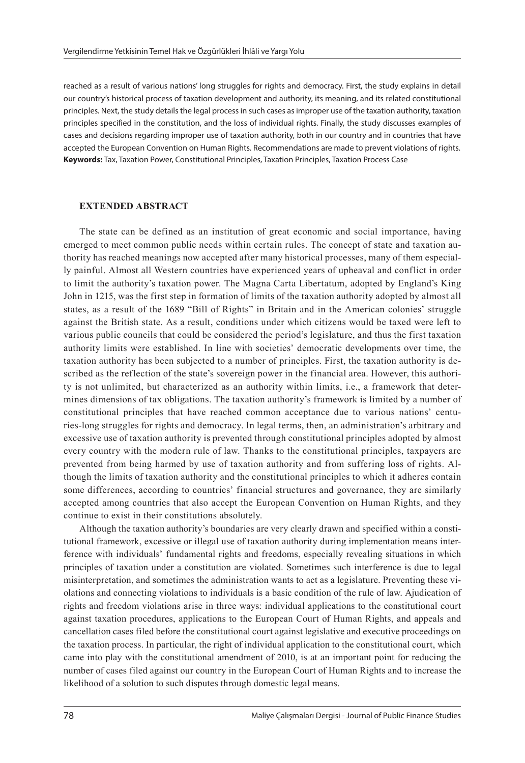reached as a result of various nations' long struggles for rights and democracy. First, the study explains in detail our country's historical process of taxation development and authority, its meaning, and its related constitutional principles. Next, the study details the legal process in such cases as improper use of the taxation authority, taxation principles specified in the constitution, and the loss of individual rights. Finally, the study discusses examples of cases and decisions regarding improper use of taxation authority, both in our country and in countries that have accepted the European Convention on Human Rights. Recommendations are made to prevent violations of rights. **Keywords:** Tax, Taxation Power, Constitutional Principles, Taxation Principles, Taxation Process Case

#### **EXTENDED ABSTRACT**

The state can be defined as an institution of great economic and social importance, having emerged to meet common public needs within certain rules. The concept of state and taxation authority has reached meanings now accepted after many historical processes, many of them especially painful. Almost all Western countries have experienced years of upheaval and conflict in order to limit the authority's taxation power. The Magna Carta Libertatum, adopted by England's King John in 1215, was the first step in formation of limits of the taxation authority adopted by almost all states, as a result of the 1689 "Bill of Rights" in Britain and in the American colonies' struggle against the British state. As a result, conditions under which citizens would be taxed were left to various public councils that could be considered the period's legislature, and thus the first taxation authority limits were established. In line with societies' democratic developments over time, the taxation authority has been subjected to a number of principles. First, the taxation authority is described as the reflection of the state's sovereign power in the financial area. However, this authority is not unlimited, but characterized as an authority within limits, i.e., a framework that determines dimensions of tax obligations. The taxation authority's framework is limited by a number of constitutional principles that have reached common acceptance due to various nations' centuries-long struggles for rights and democracy. In legal terms, then, an administration's arbitrary and excessive use of taxation authority is prevented through constitutional principles adopted by almost every country with the modern rule of law. Thanks to the constitutional principles, taxpayers are prevented from being harmed by use of taxation authority and from suffering loss of rights. Although the limits of taxation authority and the constitutional principles to which it adheres contain some differences, according to countries' financial structures and governance, they are similarly accepted among countries that also accept the European Convention on Human Rights, and they continue to exist in their constitutions absolutely.

Although the taxation authority's boundaries are very clearly drawn and specified within a constitutional framework, excessive or illegal use of taxation authority during implementation means interference with individuals' fundamental rights and freedoms, especially revealing situations in which principles of taxation under a constitution are violated. Sometimes such interference is due to legal misinterpretation, and sometimes the administration wants to act as a legislature. Preventing these violations and connecting violations to individuals is a basic condition of the rule of law. Ajudication of rights and freedom violations arise in three ways: individual applications to the constitutional court against taxation procedures, applications to the European Court of Human Rights, and appeals and cancellation cases filed before the constitutional court against legislative and executive proceedings on the taxation process. In particular, the right of individual application to the constitutional court, which came into play with the constitutional amendment of 2010, is at an important point for reducing the number of cases filed against our country in the European Court of Human Rights and to increase the likelihood of a solution to such disputes through domestic legal means.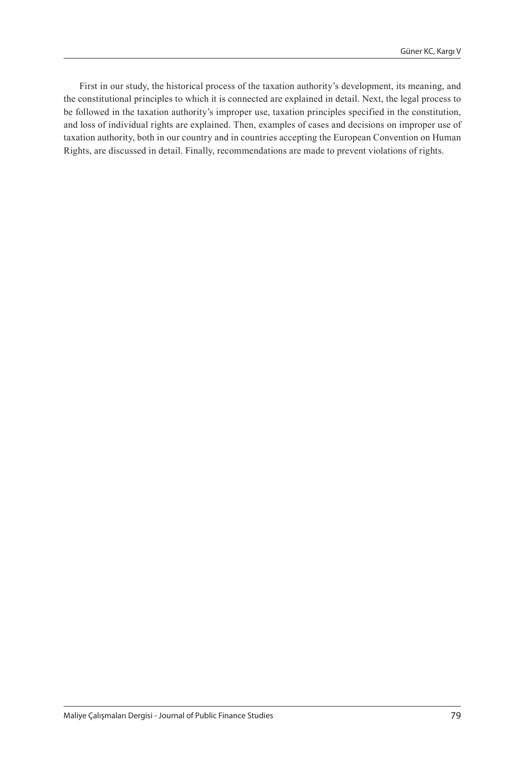First in our study, the historical process of the taxation authority's development, its meaning, and the constitutional principles to which it is connected are explained in detail. Next, the legal process to be followed in the taxation authority's improper use, taxation principles specified in the constitution, and loss of individual rights are explained. Then, examples of cases and decisions on improper use of taxation authority, both in our country and in countries accepting the European Convention on Human Rights, are discussed in detail. Finally, recommendations are made to prevent violations of rights.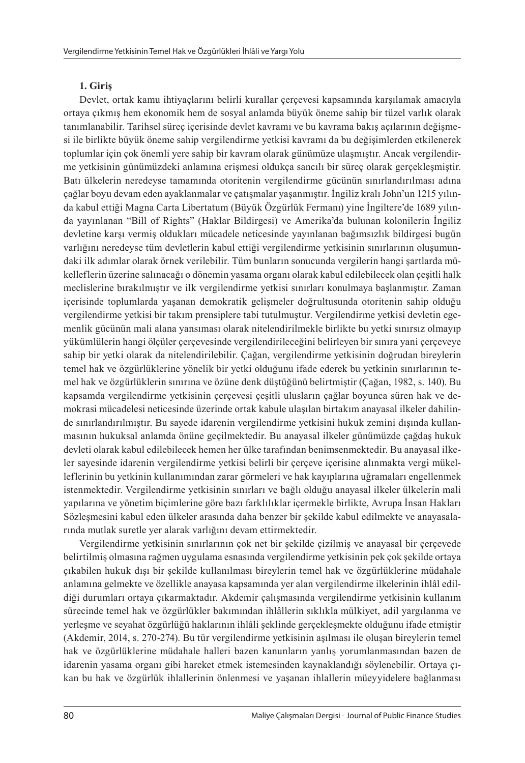# **1. Giriş**

Devlet, ortak kamu ihtiyaçlarını belirli kurallar çerçevesi kapsamında karşılamak amacıyla ortaya çıkmış hem ekonomik hem de sosyal anlamda büyük öneme sahip bir tüzel varlık olarak tanımlanabilir. Tarihsel süreç içerisinde devlet kavramı ve bu kavrama bakış açılarının değişmesi ile birlikte büyük öneme sahip vergilendirme yetkisi kavramı da bu değişimlerden etkilenerek toplumlar için çok önemli yere sahip bir kavram olarak günümüze ulaşmıştır. Ancak vergilendirme yetkisinin günümüzdeki anlamına erişmesi oldukça sancılı bir süreç olarak gerçekleşmiştir. Batı ülkelerin neredeyse tamamında otoritenin vergilendirme gücünün sınırlandırılması adına çağlar boyu devam eden ayaklanmalar ve çatışmalar yaşanmıştır. İngiliz kralı John'un 1215 yılında kabul ettiği Magna Carta Libertatum (Büyük Özgürlük Fermanı) yine İngiltere'de 1689 yılında yayınlanan "Bill of Rights" (Haklar Bildirgesi) ve Amerika'da bulunan kolonilerin İngiliz devletine karşı vermiş oldukları mücadele neticesinde yayınlanan bağımsızlık bildirgesi bugün varlığını neredeyse tüm devletlerin kabul ettiği vergilendirme yetkisinin sınırlarının oluşumundaki ilk adımlar olarak örnek verilebilir. Tüm bunların sonucunda vergilerin hangi şartlarda mükelleflerin üzerine salınacağı o dönemin yasama organı olarak kabul edilebilecek olan çeşitli halk meclislerine bırakılmıştır ve ilk vergilendirme yetkisi sınırları konulmaya başlanmıştır. Zaman içerisinde toplumlarda yaşanan demokratik gelişmeler doğrultusunda otoritenin sahip olduğu vergilendirme yetkisi bir takım prensiplere tabi tutulmuştur. Vergilendirme yetkisi devletin egemenlik gücünün mali alana yansıması olarak nitelendirilmekle birlikte bu yetki sınırsız olmayıp yükümlülerin hangi ölçüler çerçevesinde vergilendirileceğini belirleyen bir sınıra yani çerçeveye sahip bir yetki olarak da nitelendirilebilir. Çağan, vergilendirme yetkisinin doğrudan bireylerin temel hak ve özgürlüklerine yönelik bir yetki olduğunu ifade ederek bu yetkinin sınırlarının temel hak ve özgürlüklerin sınırına ve özüne denk düştüğünü belirtmiştir (Çağan, 1982, s. 140). Bu kapsamda vergilendirme yetkisinin çerçevesi çeşitli ulusların çağlar boyunca süren hak ve demokrasi mücadelesi neticesinde üzerinde ortak kabule ulaşılan birtakım anayasal ilkeler dahilinde sınırlandırılmıştır. Bu sayede idarenin vergilendirme yetkisini hukuk zemini dışında kullanmasının hukuksal anlamda önüne geçilmektedir. Bu anayasal ilkeler günümüzde çağdaş hukuk devleti olarak kabul edilebilecek hemen her ülke tarafından benimsenmektedir. Bu anayasal ilkeler sayesinde idarenin vergilendirme yetkisi belirli bir çerçeve içerisine alınmakta vergi mükelleflerinin bu yetkinin kullanımından zarar görmeleri ve hak kayıplarına uğramaları engellenmek istenmektedir. Vergilendirme yetkisinin sınırları ve bağlı olduğu anayasal ilkeler ülkelerin mali yapılarına ve yönetim biçimlerine göre bazı farklılıklar içermekle birlikte, Avrupa İnsan Hakları Sözleşmesini kabul eden ülkeler arasında daha benzer bir şekilde kabul edilmekte ve anayasalarında mutlak suretle yer alarak varlığını devam ettirmektedir.

Vergilendirme yetkisinin sınırlarının çok net bir şekilde çizilmiş ve anayasal bir çerçevede belirtilmiş olmasına rağmen uygulama esnasında vergilendirme yetkisinin pek çok şekilde ortaya çıkabilen hukuk dışı bir şekilde kullanılması bireylerin temel hak ve özgürlüklerine müdahale anlamına gelmekte ve özellikle anayasa kapsamında yer alan vergilendirme ilkelerinin ihlâl edildiği durumları ortaya çıkarmaktadır. Akdemir çalışmasında vergilendirme yetkisinin kullanım sürecinde temel hak ve özgürlükler bakımından ihlâllerin sıklıkla mülkiyet, adil yargılanma ve yerleşme ve seyahat özgürlüğü haklarının ihlâli şeklinde gerçekleşmekte olduğunu ifade etmiştir (Akdemir, 2014, s. 270-274). Bu tür vergilendirme yetkisinin aşılması ile oluşan bireylerin temel hak ve özgürlüklerine müdahale halleri bazen kanunların yanlış yorumlanmasından bazen de idarenin yasama organı gibi hareket etmek istemesinden kaynaklandığı söylenebilir. Ortaya çıkan bu hak ve özgürlük ihlallerinin önlenmesi ve yaşanan ihlallerin müeyyidelere bağlanması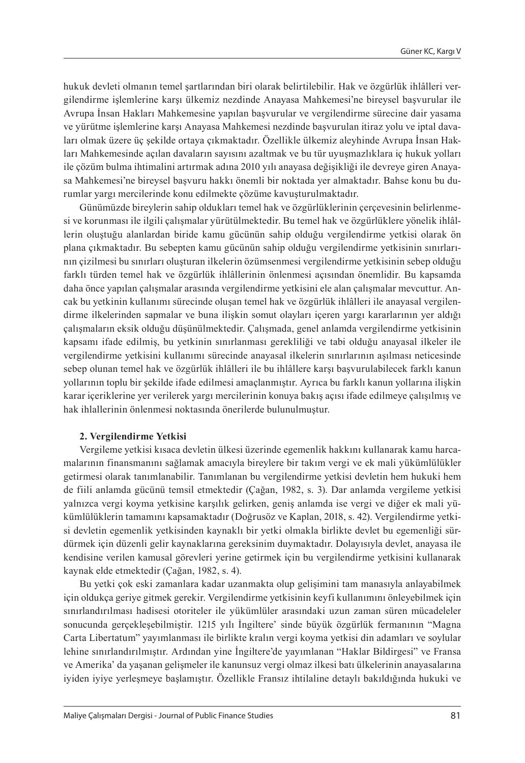hukuk devleti olmanın temel şartlarından biri olarak belirtilebilir. Hak ve özgürlük ihlâlleri vergilendirme işlemlerine karşı ülkemiz nezdinde Anayasa Mahkemesi'ne bireysel başvurular ile Avrupa İnsan Hakları Mahkemesine yapılan başvurular ve vergilendirme sürecine dair yasama ve yürütme işlemlerine karşı Anayasa Mahkemesi nezdinde başvurulan itiraz yolu ve iptal davaları olmak üzere üç şekilde ortaya çıkmaktadır. Özellikle ülkemiz aleyhinde Avrupa İnsan Hakları Mahkemesinde açılan davaların sayısını azaltmak ve bu tür uyuşmazlıklara iç hukuk yolları ile çözüm bulma ihtimalini artırmak adına 2010 yılı anayasa değişikliği ile devreye giren Anayasa Mahkemesi'ne bireysel başvuru hakkı önemli bir noktada yer almaktadır. Bahse konu bu durumlar yargı mercilerinde konu edilmekte çözüme kavuşturulmaktadır.

Günümüzde bireylerin sahip oldukları temel hak ve özgürlüklerinin çerçevesinin belirlenmesi ve korunması ile ilgili çalışmalar yürütülmektedir. Bu temel hak ve özgürlüklere yönelik ihlâllerin oluştuğu alanlardan biride kamu gücünün sahip olduğu vergilendirme yetkisi olarak ön plana çıkmaktadır. Bu sebepten kamu gücünün sahip olduğu vergilendirme yetkisinin sınırlarının çizilmesi bu sınırları oluşturan ilkelerin özümsenmesi vergilendirme yetkisinin sebep olduğu farklı türden temel hak ve özgürlük ihlâllerinin önlenmesi açısından önemlidir. Bu kapsamda daha önce yapılan çalışmalar arasında vergilendirme yetkisini ele alan çalışmalar mevcuttur. Ancak bu yetkinin kullanımı sürecinde oluşan temel hak ve özgürlük ihlâlleri ile anayasal vergilendirme ilkelerinden sapmalar ve buna ilişkin somut olayları içeren yargı kararlarının yer aldığı çalışmaların eksik olduğu düşünülmektedir. Çalışmada, genel anlamda vergilendirme yetkisinin kapsamı ifade edilmiş, bu yetkinin sınırlanması gerekliliği ve tabi olduğu anayasal ilkeler ile vergilendirme yetkisini kullanımı sürecinde anayasal ilkelerin sınırlarının aşılması neticesinde sebep olunan temel hak ve özgürlük ihlâlleri ile bu ihlâllere karşı başvurulabilecek farklı kanun yollarının toplu bir şekilde ifade edilmesi amaçlanmıştır. Ayrıca bu farklı kanun yollarına ilişkin karar içeriklerine yer verilerek yargı mercilerinin konuya bakış açısı ifade edilmeye çalışılmış ve hak ihlallerinin önlenmesi noktasında önerilerde bulunulmuştur.

#### **2. Vergilendirme Yetkisi**

Vergileme yetkisi kısaca devletin ülkesi üzerinde egemenlik hakkını kullanarak kamu harcamalarının finansmanını sağlamak amacıyla bireylere bir takım vergi ve ek mali yükümlülükler getirmesi olarak tanımlanabilir. Tanımlanan bu vergilendirme yetkisi devletin hem hukuki hem de fiili anlamda gücünü temsil etmektedir (Çağan, 1982, s. 3). Dar anlamda vergileme yetkisi yalnızca vergi koyma yetkisine karşılık gelirken, geniş anlamda ise vergi ve diğer ek mali yükümlülüklerin tamamını kapsamaktadır (Doğrusöz ve Kaplan, 2018, s. 42). Vergilendirme yetkisi devletin egemenlik yetkisinden kaynaklı bir yetki olmakla birlikte devlet bu egemenliği sürdürmek için düzenli gelir kaynaklarına gereksinim duymaktadır. Dolayısıyla devlet, anayasa ile kendisine verilen kamusal görevleri yerine getirmek için bu vergilendirme yetkisini kullanarak kaynak elde etmektedir (Çağan, 1982, s. 4).

Bu yetki çok eski zamanlara kadar uzanmakta olup gelişimini tam manasıyla anlayabilmek için oldukça geriye gitmek gerekir. Vergilendirme yetkisinin keyfi kullanımını önleyebilmek için sınırlandırılması hadisesi otoriteler ile yükümlüler arasındaki uzun zaman süren mücadeleler sonucunda gerçekleşebilmiştir. 1215 yılı İngiltere' sinde büyük özgürlük fermanının "Magna Carta Libertatum" yayımlanması ile birlikte kralın vergi koyma yetkisi din adamları ve soylular lehine sınırlandırılmıştır. Ardından yine İngiltere'de yayımlanan "Haklar Bildirgesi" ve Fransa ve Amerika' da yaşanan gelişmeler ile kanunsuz vergi olmaz ilkesi batı ülkelerinin anayasalarına iyiden iyiye yerleşmeye başlamıştır. Özellikle Fransız ihtilaline detaylı bakıldığında hukuki ve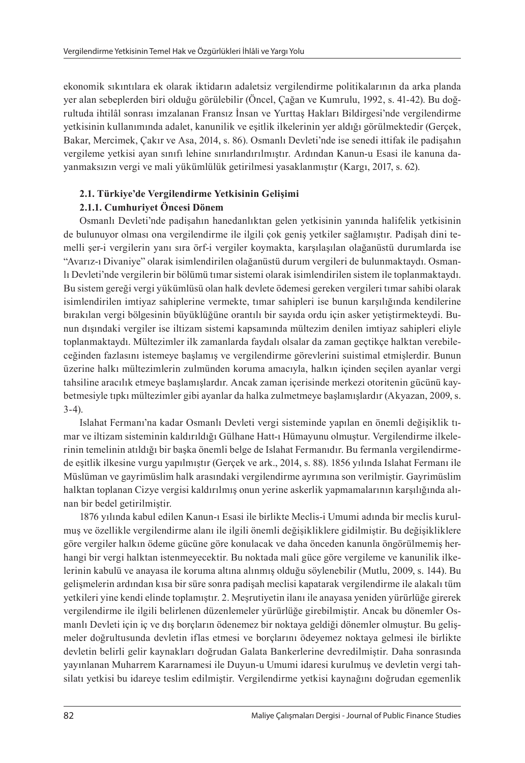ekonomik sıkıntılara ek olarak iktidarın adaletsiz vergilendirme politikalarının da arka planda yer alan sebeplerden biri olduğu görülebilir (Öncel, Çağan ve Kumrulu, 1992, s. 41-42). Bu doğrultuda ihtilâl sonrası imzalanan Fransız İnsan ve Yurttaş Hakları Bildirgesi'nde vergilendirme yetkisinin kullanımında adalet, kanunilik ve eşitlik ilkelerinin yer aldığı görülmektedir (Gerçek, Bakar, Mercimek, Çakır ve Asa, 2014, s. 86). Osmanlı Devleti'nde ise senedi ittifak ile padişahın vergileme yetkisi ayan sınıfı lehine sınırlandırılmıştır. Ardından Kanun-u Esasi ile kanuna dayanmaksızın vergi ve mali yükümlülük getirilmesi yasaklanmıştır (Kargı, 2017, s. 62).

# **2.1. Türkiye'de Vergilendirme Yetkisinin Gelişimi**

# **2.1.1. Cumhuriyet Öncesi Dönem**

Osmanlı Devleti'nde padişahın hanedanlıktan gelen yetkisinin yanında halifelik yetkisinin de bulunuyor olması ona vergilendirme ile ilgili çok geniş yetkiler sağlamıştır. Padişah dini temelli şer-i vergilerin yanı sıra örf-i vergiler koymakta, karşılaşılan olağanüstü durumlarda ise "Avarız-ı Divaniye" olarak isimlendirilen olağanüstü durum vergileri de bulunmaktaydı. Osmanlı Devleti'nde vergilerin bir bölümü tımar sistemi olarak isimlendirilen sistem ile toplanmaktaydı. Bu sistem gereği vergi yükümlüsü olan halk devlete ödemesi gereken vergileri tımar sahibi olarak isimlendirilen imtiyaz sahiplerine vermekte, tımar sahipleri ise bunun karşılığında kendilerine bırakılan vergi bölgesinin büyüklüğüne orantılı bir sayıda ordu için asker yetiştirmekteydi. Bunun dışındaki vergiler ise iltizam sistemi kapsamında mültezim denilen imtiyaz sahipleri eliyle toplanmaktaydı. Mültezimler ilk zamanlarda faydalı olsalar da zaman geçtikçe halktan verebileceğinden fazlasını istemeye başlamış ve vergilendirme görevlerini suistimal etmişlerdir. Bunun üzerine halkı mültezimlerin zulmünden koruma amacıyla, halkın içinden seçilen ayanlar vergi tahsiline aracılık etmeye başlamışlardır. Ancak zaman içerisinde merkezi otoritenin gücünü kaybetmesiyle tıpkı mültezimler gibi ayanlar da halka zulmetmeye başlamışlardır (Akyazan, 2009, s.  $3-4$ ).

Islahat Fermanı'na kadar Osmanlı Devleti vergi sisteminde yapılan en önemli değişiklik tımar ve iltizam sisteminin kaldırıldığı Gülhane Hatt-ı Hümayunu olmuştur. Vergilendirme ilkelerinin temelinin atıldığı bir başka önemli belge de Islahat Fermanıdır. Bu fermanla vergilendirmede eşitlik ilkesine vurgu yapılmıştır (Gerçek ve ark., 2014, s. 88). 1856 yılında Islahat Fermanı ile Müslüman ve gayrimüslim halk arasındaki vergilendirme ayrımına son verilmiştir. Gayrimüslim halktan toplanan Cizye vergisi kaldırılmış onun yerine askerlik yapmamalarının karşılığında alınan bir bedel getirilmiştir.

1876 yılında kabul edilen Kanun-ı Esasi ile birlikte Meclis-i Umumi adında bir meclis kurulmuş ve özellikle vergilendirme alanı ile ilgili önemli değişikliklere gidilmiştir. Bu değişikliklere göre vergiler halkın ödeme gücüne göre konulacak ve daha önceden kanunla öngörülmemiş herhangi bir vergi halktan istenmeyecektir. Bu noktada mali güce göre vergileme ve kanunilik ilkelerinin kabulü ve anayasa ile koruma altına alınmış olduğu söylenebilir (Mutlu, 2009, s. 144). Bu gelişmelerin ardından kısa bir süre sonra padişah meclisi kapatarak vergilendirme ile alakalı tüm yetkileri yine kendi elinde toplamıştır. 2. Meşrutiyetin ilanı ile anayasa yeniden yürürlüğe girerek vergilendirme ile ilgili belirlenen düzenlemeler yürürlüğe girebilmiştir. Ancak bu dönemler Osmanlı Devleti için iç ve dış borçların ödenemez bir noktaya geldiği dönemler olmuştur. Bu gelişmeler doğrultusunda devletin iflas etmesi ve borçlarını ödeyemez noktaya gelmesi ile birlikte devletin belirli gelir kaynakları doğrudan Galata Bankerlerine devredilmiştir. Daha sonrasında yayınlanan Muharrem Kararnamesi ile Duyun-u Umumi idaresi kurulmuş ve devletin vergi tahsilatı yetkisi bu idareye teslim edilmiştir. Vergilendirme yetkisi kaynağını doğrudan egemenlik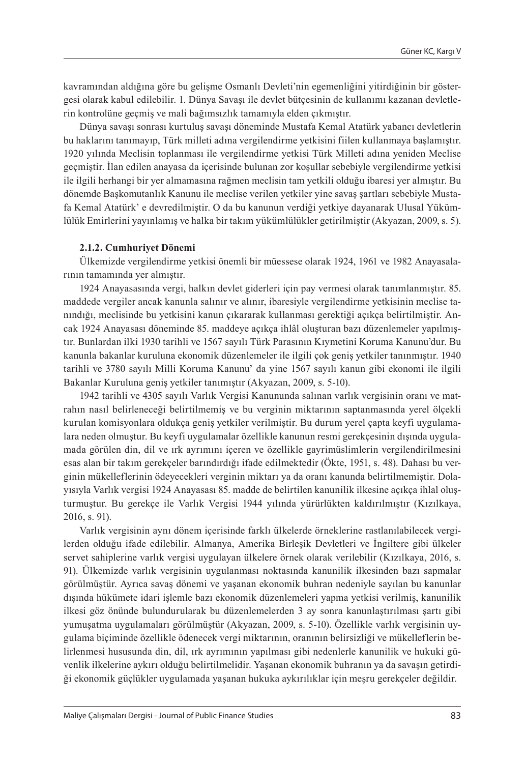kavramından aldığına göre bu gelişme Osmanlı Devleti'nin egemenliğini yitirdiğinin bir göstergesi olarak kabul edilebilir. 1. Dünya Savaşı ile devlet bütçesinin de kullanımı kazanan devletlerin kontrolüne geçmiş ve mali bağımsızlık tamamıyla elden çıkmıştır.

Dünya savaşı sonrası kurtuluş savaşı döneminde Mustafa Kemal Atatürk yabancı devletlerin bu haklarını tanımayıp, Türk milleti adına vergilendirme yetkisini fiilen kullanmaya başlamıştır. 1920 yılında Meclisin toplanması ile vergilendirme yetkisi Türk Milleti adına yeniden Meclise geçmiştir. İlan edilen anayasa da içerisinde bulunan zor koşullar sebebiyle vergilendirme yetkisi ile ilgili herhangi bir yer almamasına rağmen meclisin tam yetkili olduğu ibaresi yer almıştır. Bu dönemde Başkomutanlık Kanunu ile meclise verilen yetkiler yine savaş şartları sebebiyle Mustafa Kemal Atatürk' e devredilmiştir. O da bu kanunun verdiği yetkiye dayanarak Ulusal Yükümlülük Emirlerini yayınlamış ve halka bir takım yükümlülükler getirilmiştir (Akyazan, 2009, s. 5).

#### **2.1.2. Cumhuriyet Dönemi**

Ülkemizde vergilendirme yetkisi önemli bir müessese olarak 1924, 1961 ve 1982 Anayasalarının tamamında yer almıştır.

1924 Anayasasında vergi, halkın devlet giderleri için pay vermesi olarak tanımlanmıştır. 85. maddede vergiler ancak kanunla salınır ve alınır, ibaresiyle vergilendirme yetkisinin meclise tanındığı, meclisinde bu yetkisini kanun çıkararak kullanması gerektiği açıkça belirtilmiştir. Ancak 1924 Anayasası döneminde 85. maddeye açıkça ihlâl oluşturan bazı düzenlemeler yapılmıştır. Bunlardan ilki 1930 tarihli ve 1567 sayılı Türk Parasının Kıymetini Koruma Kanunu'dur. Bu kanunla bakanlar kuruluna ekonomik düzenlemeler ile ilgili çok geniş yetkiler tanınmıştır. 1940 tarihli ve 3780 sayılı Milli Koruma Kanunu' da yine 1567 sayılı kanun gibi ekonomi ile ilgili Bakanlar Kuruluna geniş yetkiler tanımıştır (Akyazan, 2009, s. 5-10).

1942 tarihli ve 4305 sayılı Varlık Vergisi Kanununda salınan varlık vergisinin oranı ve matrahın nasıl belirleneceği belirtilmemiş ve bu verginin miktarının saptanmasında yerel ölçekli kurulan komisyonlara oldukça geniş yetkiler verilmiştir. Bu durum yerel çapta keyfi uygulamalara neden olmuştur. Bu keyfi uygulamalar özellikle kanunun resmi gerekçesinin dışında uygulamada görülen din, dil ve ırk ayrımını içeren ve özellikle gayrimüslimlerin vergilendirilmesini esas alan bir takım gerekçeler barındırdığı ifade edilmektedir (Ökte, 1951, s. 48). Dahası bu verginin mükelleflerinin ödeyecekleri verginin miktarı ya da oranı kanunda belirtilmemiştir. Dolayısıyla Varlık vergisi 1924 Anayasası 85. madde de belirtilen kanunilik ilkesine açıkça ihlal oluşturmuştur. Bu gerekçe ile Varlık Vergisi 1944 yılında yürürlükten kaldırılmıştır (Kızılkaya, 2016, s. 91).

Varlık vergisinin aynı dönem içerisinde farklı ülkelerde örneklerine rastlanılabilecek vergilerden olduğu ifade edilebilir. Almanya, Amerika Birleşik Devletleri ve İngiltere gibi ülkeler servet sahiplerine varlık vergisi uygulayan ülkelere örnek olarak verilebilir (Kızılkaya, 2016, s. 91). Ülkemizde varlık vergisinin uygulanması noktasında kanunilik ilkesinden bazı sapmalar görülmüştür. Ayrıca savaş dönemi ve yaşanan ekonomik buhran nedeniyle sayılan bu kanunlar dışında hükümete idari işlemle bazı ekonomik düzenlemeleri yapma yetkisi verilmiş, kanunilik ilkesi göz önünde bulundurularak bu düzenlemelerden 3 ay sonra kanunlaştırılması şartı gibi yumuşatma uygulamaları görülmüştür (Akyazan, 2009, s. 5-10). Özellikle varlık vergisinin uygulama biçiminde özellikle ödenecek vergi miktarının, oranının belirsizliği ve mükelleflerin belirlenmesi hususunda din, dil, ırk ayrımının yapılması gibi nedenlerle kanunilik ve hukuki güvenlik ilkelerine aykırı olduğu belirtilmelidir. Yaşanan ekonomik buhranın ya da savaşın getirdiği ekonomik güçlükler uygulamada yaşanan hukuka aykırılıklar için meşru gerekçeler değildir.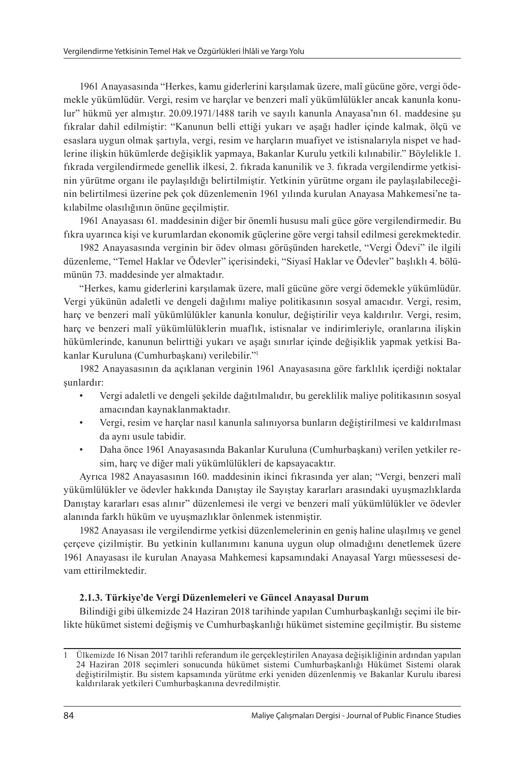1961 Anayasasında "Herkes, kamu giderlerini karşılamak üzere, malî gücüne göre, vergi ödemekle yükümlüdür. Vergi, resim ve harçlar ve benzeri malî yükümlülükler ancak kanunla konulur" hükmü yer almıştır. 20.09.1971/1488 tarih ve sayılı kanunla Anayasa'nın 61. maddesine şu fıkralar dahil edilmiştir: "Kanunun belli ettiği yukarı ve aşağı hadler içinde kalmak, ölçü ve esaslara uygun olmak şartıyla, vergi, resim ve harçların muafiyet ve istisnalarıyla nispet ve hadlerine ilişkin hükümlerde değişiklik yapmaya, Bakanlar Kurulu yetkili kılınabilir." Böylelikle 1. fıkrada vergilendirmede genellik ilkesi, 2. fıkrada kanunilik ve 3. fıkrada vergilendirme yetkisinin yürütme organı ile paylaşıldığı belirtilmiştir. Yetkinin yürütme organı ile paylaşılabileceğinin belirtilmesi üzerine pek çok düzenlemenin 1961 yılında kurulan Anayasa Mahkemesi'ne takılabilme olasılığının önüne geçilmiştir.

1961 Anayasası 61. maddesinin diğer bir önemli hususu mali güce göre vergilendirmedir. Bu fıkra uyarınca kişi ve kurumlardan ekonomik güçlerine göre vergi tahsil edilmesi gerekmektedir.

1982 Anayasasında verginin bir ödev olması görüşünden hareketle, "Vergi Ödevi" ile ilgili düzenleme, "Temel Haklar ve Ödevler" içerisindeki, "Siyasî Haklar ve Ödevler" başlıklı 4. bölümünün 73. maddesinde yer almaktadır.

"Herkes, kamu giderlerini karşılamak üzere, malî gücüne göre vergi ödemekle yükümlüdür. Vergi yükünün adaletli ve dengeli dağılımı maliye politikasının sosyal amacıdır. Vergi, resim, harç ve benzeri malî yükümlülükler kanunla konulur, değiştirilir veya kaldırılır. Vergi, resim, harç ve benzeri malî yükümlülüklerin muaflık, istisnalar ve indirimleriyle, oranlarına ilişkin hükümlerinde, kanunun belirttiği yukarı ve aşağı sınırlar içinde değişiklik yapmak yetkisi Bakanlar Kuruluna (Cumhurbaşkanı) verilebilir."<sup>1</sup>

1982 Anayasasının da açıklanan verginin 1961 Anayasasına göre farklılık içerdiği noktalar şunlardır:

- Vergi adaletli ve dengeli şekilde dağıtılmalıdır, bu gereklilik maliye politikasının sosyal amacından kaynaklanmaktadır.
- Vergi, resim ve harçlar nasıl kanunla salınıyorsa bunların değiştirilmesi ve kaldırılması da aynı usule tabidir.
- Daha önce 1961 Anayasasında Bakanlar Kuruluna (Cumhurbaşkanı) verilen yetkiler resim, harç ve diğer mali yükümlülükleri de kapsayacaktır.

Ayrıca 1982 Anayasasının 160. maddesinin ikinci fıkrasında yer alan; "Vergi, benzeri malî yükümlülükler ve ödevler hakkında Danıştay ile Sayıştay kararları arasındaki uyuşmazlıklarda Danıştay kararları esas alınır" düzenlemesi ile vergi ve benzeri malî yükümlülükler ve ödevler alanında farklı hüküm ve uyuşmazlıklar önlenmek istenmiştir.

1982 Anayasası ile vergilendirme yetkisi düzenlemelerinin en geniş haline ulaşılmış ve genel çerçeve çizilmiştir. Bu yetkinin kullanımını kanuna uygun olup olmadığını denetlemek üzere 1961 Anayasası ile kurulan Anayasa Mahkemesi kapsamındaki Anayasal Yargı müessesesi devam ettirilmektedir.

#### **2.1.3. Türkiye'de Vergi Düzenlemeleri ve Güncel Anayasal Durum**

Bilindiği gibi ülkemizde 24 Haziran 2018 tarihinde yapılan Cumhurbaşkanlığı seçimi ile birlikte hükümet sistemi değişmiş ve Cumhurbaşkanlığı hükümet sistemine geçilmiştir. Bu sisteme

<sup>1</sup> Ülkemizde 16 Nisan 2017 tarihli referandum ile gerçekleştirilen Anayasa değişikliğinin ardından yapılan 24 Haziran 2018 seçimleri sonucunda hükümet sistemi Cumhurbaşkanlığı Hükümet Sistemi olarak değiştirilmiştir. Bu sistem kapsamında yürütme erki yeniden düzenlenmiş ve Bakanlar Kurulu ibaresi kaldırılarak yetkileri Cumhurbaşkanına devredilmiştir.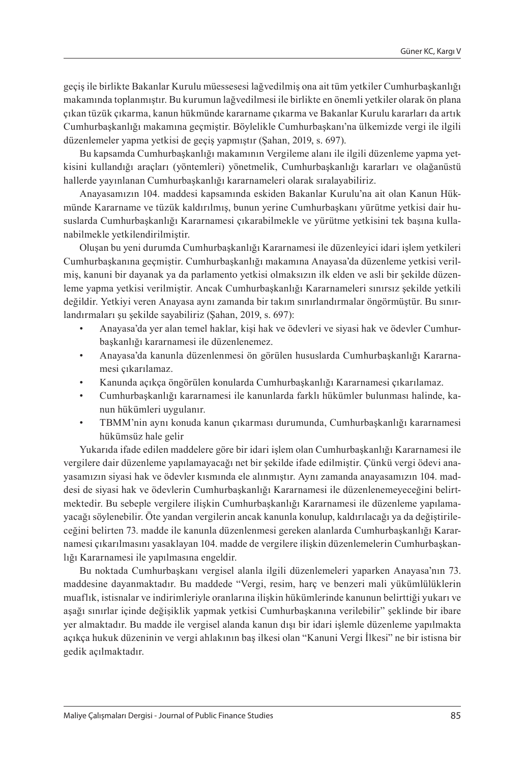geçiş ile birlikte Bakanlar Kurulu müessesesi lağvedilmiş ona ait tüm yetkiler Cumhurbaşkanlığı makamında toplanmıştır. Bu kurumun lağvedilmesi ile birlikte en önemli yetkiler olarak ön plana çıkan tüzük çıkarma, kanun hükmünde kararname çıkarma ve Bakanlar Kurulu kararları da artık Cumhurbaşkanlığı makamına geçmiştir. Böylelikle Cumhurbaşkanı'na ülkemizde vergi ile ilgili düzenlemeler yapma yetkisi de geçiş yapmıştır (Şahan, 2019, s. 697).

Bu kapsamda Cumhurbaşkanlığı makamının Vergileme alanı ile ilgili düzenleme yapma yetkisini kullandığı araçları (yöntemleri) yönetmelik, Cumhurbaşkanlığı kararları ve olağanüstü hallerde yayınlanan Cumhurbaşkanlığı kararnameleri olarak sıralayabiliriz.

Anayasamızın 104. maddesi kapsamında eskiden Bakanlar Kurulu'na ait olan Kanun Hükmünde Kararname ve tüzük kaldırılmış, bunun yerine Cumhurbaşkanı yürütme yetkisi dair hususlarda Cumhurbaşkanlığı Kararnamesi çıkarabilmekle ve yürütme yetkisini tek başına kullanabilmekle yetkilendirilmiştir.

Oluşan bu yeni durumda Cumhurbaşkanlığı Kararnamesi ile düzenleyici idari işlem yetkileri Cumhurbaşkanına geçmiştir. Cumhurbaşkanlığı makamına Anayasa'da düzenleme yetkisi verilmiş, kanuni bir dayanak ya da parlamento yetkisi olmaksızın ilk elden ve asli bir şekilde düzenleme yapma yetkisi verilmiştir. Ancak Cumhurbaşkanlığı Kararnameleri sınırsız şekilde yetkili değildir. Yetkiyi veren Anayasa aynı zamanda bir takım sınırlandırmalar öngörmüştür. Bu sınırlandırmaları şu şekilde sayabiliriz (Şahan, 2019, s. 697):

- Anayasa'da yer alan temel haklar, kişi hak ve ödevleri ve siyasi hak ve ödevler Cumhurbaşkanlığı kararnamesi ile düzenlenemez.
- Anayasa'da kanunla düzenlenmesi ön görülen hususlarda Cumhurbaşkanlığı Kararnamesi çıkarılamaz.
- Kanunda açıkça öngörülen konularda Cumhurbaşkanlığı Kararnamesi çıkarılamaz.
- Cumhurbaşkanlığı kararnamesi ile kanunlarda farklı hükümler bulunması halinde, kanun hükümleri uygulanır.
- TBMM'nin aynı konuda kanun çıkarması durumunda, Cumhurbaşkanlığı kararnamesi hükümsüz hale gelir

Yukarıda ifade edilen maddelere göre bir idari işlem olan Cumhurbaşkanlığı Kararnamesi ile vergilere dair düzenleme yapılamayacağı net bir şekilde ifade edilmiştir. Çünkü vergi ödevi anayasamızın siyasi hak ve ödevler kısmında ele alınmıştır. Aynı zamanda anayasamızın 104. maddesi de siyasi hak ve ödevlerin Cumhurbaşkanlığı Kararnamesi ile düzenlenemeyeceğini belirtmektedir. Bu sebeple vergilere ilişkin Cumhurbaşkanlığı Kararnamesi ile düzenleme yapılamayacağı söylenebilir. Öte yandan vergilerin ancak kanunla konulup, kaldırılacağı ya da değiştirileceğini belirten 73. madde ile kanunla düzenlenmesi gereken alanlarda Cumhurbaşkanlığı Kararnamesi çıkarılmasını yasaklayan 104. madde de vergilere ilişkin düzenlemelerin Cumhurbaşkanlığı Kararnamesi ile yapılmasına engeldir.

Bu noktada Cumhurbaşkanı vergisel alanla ilgili düzenlemeleri yaparken Anayasa'nın 73. maddesine dayanmaktadır. Bu maddede "Vergi, resim, harç ve benzeri mali yükümlülüklerin muaflık, istisnalar ve indirimleriyle oranlarına ilişkin hükümlerinde kanunun belirttiği yukarı ve aşağı sınırlar içinde değişiklik yapmak yetkisi Cumhurbaşkanına verilebilir" şeklinde bir ibare yer almaktadır. Bu madde ile vergisel alanda kanun dışı bir idari işlemle düzenleme yapılmakta açıkça hukuk düzeninin ve vergi ahlakının baş ilkesi olan "Kanuni Vergi İlkesi" ne bir istisna bir gedik açılmaktadır.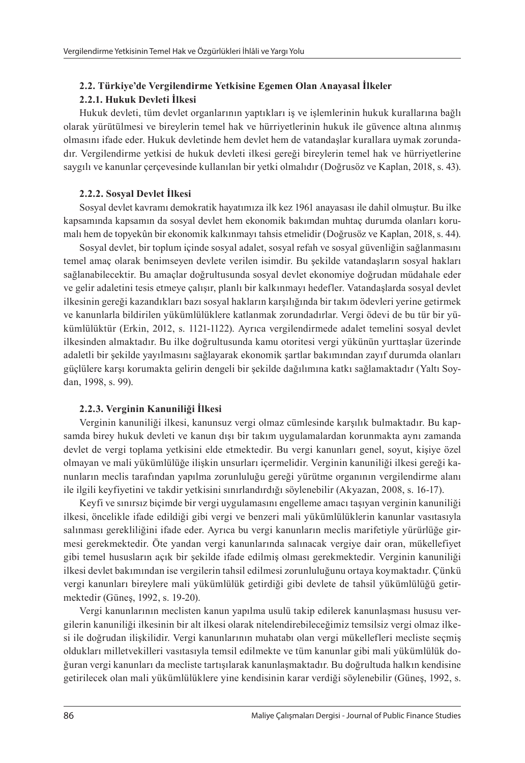# **2.2. Türkiye'de Vergilendirme Yetkisine Egemen Olan Anayasal İlkeler 2.2.1. Hukuk Devleti İlkesi**

Hukuk devleti, tüm devlet organlarının yaptıkları iş ve işlemlerinin hukuk kurallarına bağlı olarak yürütülmesi ve bireylerin temel hak ve hürriyetlerinin hukuk ile güvence altına alınmış olmasını ifade eder. Hukuk devletinde hem devlet hem de vatandaşlar kurallara uymak zorundadır. Vergilendirme yetkisi de hukuk devleti ilkesi gereği bireylerin temel hak ve hürriyetlerine saygılı ve kanunlar çerçevesinde kullanılan bir yetki olmalıdır (Doğrusöz ve Kaplan, 2018, s. 43).

# **2.2.2. Sosyal Devlet İlkesi**

Sosyal devlet kavramı demokratik hayatımıza ilk kez 1961 anayasası ile dahil olmuştur. Bu ilke kapsamında kapsamın da sosyal devlet hem ekonomik bakımdan muhtaç durumda olanları korumalı hem de topyekûn bir ekonomik kalkınmayı tahsis etmelidir (Doğrusöz ve Kaplan, 2018, s. 44).

Sosyal devlet, bir toplum içinde sosyal adalet, sosyal refah ve sosyal güvenliğin sağlanmasını temel amaç olarak benimseyen devlete verilen isimdir. Bu şekilde vatandaşların sosyal hakları sağlanabilecektir. Bu amaçlar doğrultusunda sosyal devlet ekonomiye doğrudan müdahale eder ve gelir adaletini tesis etmeye çalışır, planlı bir kalkınmayı hedefler. Vatandaşlarda sosyal devlet ilkesinin gereği kazandıkları bazı sosyal hakların karşılığında bir takım ödevleri yerine getirmek ve kanunlarla bildirilen yükümlülüklere katlanmak zorundadırlar. Vergi ödevi de bu tür bir yükümlülüktür (Erkin, 2012, s. 1121-1122). Ayrıca vergilendirmede adalet temelini sosyal devlet ilkesinden almaktadır. Bu ilke doğrultusunda kamu otoritesi vergi yükünün yurttaşlar üzerinde adaletli bir şekilde yayılmasını sağlayarak ekonomik şartlar bakımından zayıf durumda olanları güçlülere karşı korumakta gelirin dengeli bir şekilde dağılımına katkı sağlamaktadır (Yaltı Soydan, 1998, s. 99).

# **2.2.3. Verginin Kanuniliği İlkesi**

Verginin kanuniliği ilkesi, kanunsuz vergi olmaz cümlesinde karşılık bulmaktadır. Bu kapsamda birey hukuk devleti ve kanun dışı bir takım uygulamalardan korunmakta aynı zamanda devlet de vergi toplama yetkisini elde etmektedir. Bu vergi kanunları genel, soyut, kişiye özel olmayan ve mali yükümlülüğe ilişkin unsurları içermelidir. Verginin kanuniliği ilkesi gereği kanunların meclis tarafından yapılma zorunluluğu gereği yürütme organının vergilendirme alanı ile ilgili keyfiyetini ve takdir yetkisini sınırlandırdığı söylenebilir (Akyazan, 2008, s. 16-17).

Keyfi ve sınırsız biçimde bir vergi uygulamasını engelleme amacı taşıyan verginin kanuniliği ilkesi, öncelikle ifade edildiği gibi vergi ve benzeri mali yükümlülüklerin kanunlar vasıtasıyla salınması gerekliliğini ifade eder. Ayrıca bu vergi kanunların meclis marifetiyle yürürlüğe girmesi gerekmektedir. Öte yandan vergi kanunlarında salınacak vergiye dair oran, mükellefiyet gibi temel hususların açık bir şekilde ifade edilmiş olması gerekmektedir. Verginin kanuniliği ilkesi devlet bakımından ise vergilerin tahsil edilmesi zorunluluğunu ortaya koymaktadır. Çünkü vergi kanunları bireylere mali yükümlülük getirdiği gibi devlete de tahsil yükümlülüğü getirmektedir (Güneş, 1992, s. 19-20).

Vergi kanunlarının meclisten kanun yapılma usulü takip edilerek kanunlaşması hususu vergilerin kanuniliği ilkesinin bir alt ilkesi olarak nitelendirebileceğimiz temsilsiz vergi olmaz ilkesi ile doğrudan ilişkilidir. Vergi kanunlarının muhatabı olan vergi mükellefleri mecliste seçmiş oldukları milletvekilleri vasıtasıyla temsil edilmekte ve tüm kanunlar gibi mali yükümlülük doğuran vergi kanunları da mecliste tartışılarak kanunlaşmaktadır. Bu doğrultuda halkın kendisine getirilecek olan mali yükümlülüklere yine kendisinin karar verdiği söylenebilir (Güneş, 1992, s.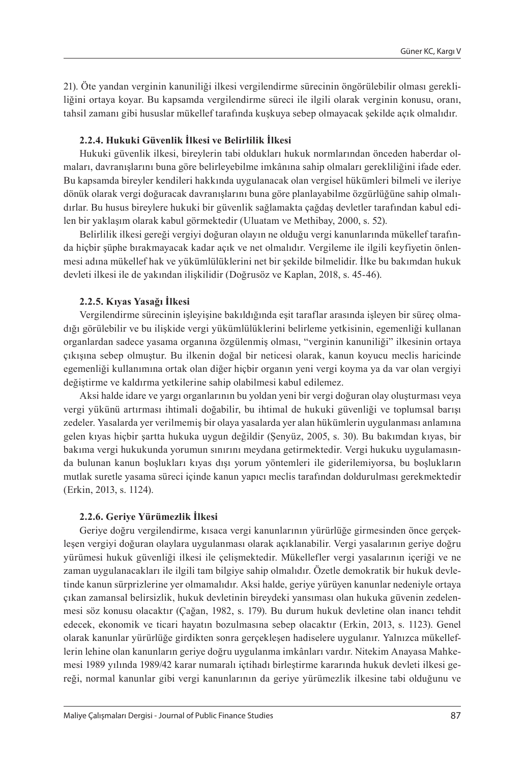21). Öte yandan verginin kanuniliği ilkesi vergilendirme sürecinin öngörülebilir olması gerekliliğini ortaya koyar. Bu kapsamda vergilendirme süreci ile ilgili olarak verginin konusu, oranı, tahsil zamanı gibi hususlar mükellef tarafında kuşkuya sebep olmayacak şekilde açık olmalıdır.

#### **2.2.4. Hukuki Güvenlik İlkesi ve Belirlilik İlkesi**

Hukuki güvenlik ilkesi, bireylerin tabi oldukları hukuk normlarından önceden haberdar olmaları, davranışlarını buna göre belirleyebilme imkânına sahip olmaları gerekliliğini ifade eder. Bu kapsamda bireyler kendileri hakkında uygulanacak olan vergisel hükümleri bilmeli ve ileriye dönük olarak vergi doğuracak davranışlarını buna göre planlayabilme özgürlüğüne sahip olmalıdırlar. Bu husus bireylere hukuki bir güvenlik sağlamakta çağdaş devletler tarafından kabul edilen bir yaklaşım olarak kabul görmektedir (Uluatam ve Methibay, 2000, s. 52).

Belirlilik ilkesi gereği vergiyi doğuran olayın ne olduğu vergi kanunlarında mükellef tarafında hiçbir şüphe bırakmayacak kadar açık ve net olmalıdır. Vergileme ile ilgili keyfiyetin önlenmesi adına mükellef hak ve yükümlülüklerini net bir şekilde bilmelidir. İlke bu bakımdan hukuk devleti ilkesi ile de yakından ilişkilidir (Doğrusöz ve Kaplan, 2018, s. 45-46).

#### **2.2.5. Kıyas Yasağı İlkesi**

Vergilendirme sürecinin işleyişine bakıldığında eşit taraflar arasında işleyen bir süreç olmadığı görülebilir ve bu ilişkide vergi yükümlülüklerini belirleme yetkisinin, egemenliği kullanan organlardan sadece yasama organına özgülenmiş olması, "verginin kanuniliği" ilkesinin ortaya çıkışına sebep olmuştur. Bu ilkenin doğal bir neticesi olarak, kanun koyucu meclis haricinde egemenliği kullanımına ortak olan diğer hiçbir organın yeni vergi koyma ya da var olan vergiyi değiştirme ve kaldırma yetkilerine sahip olabilmesi kabul edilemez.

Aksi halde idare ve yargı organlarının bu yoldan yeni bir vergi doğuran olay oluşturması veya vergi yükünü artırması ihtimali doğabilir, bu ihtimal de hukuki güvenliği ve toplumsal barışı zedeler. Yasalarda yer verilmemiş bir olaya yasalarda yer alan hükümlerin uygulanması anlamına gelen kıyas hiçbir şartta hukuka uygun değildir (Şenyüz, 2005, s. 30). Bu bakımdan kıyas, bir bakıma vergi hukukunda yorumun sınırını meydana getirmektedir. Vergi hukuku uygulamasında bulunan kanun boşlukları kıyas dışı yorum yöntemleri ile giderilemiyorsa, bu boşlukların mutlak suretle yasama süreci içinde kanun yapıcı meclis tarafından doldurulması gerekmektedir (Erkin, 2013, s. 1124).

#### **2.2.6. Geriye Yürümezlik İlkesi**

Geriye doğru vergilendirme, kısaca vergi kanunlarının yürürlüğe girmesinden önce gerçekleşen vergiyi doğuran olaylara uygulanması olarak açıklanabilir. Vergi yasalarının geriye doğru yürümesi hukuk güvenliği ilkesi ile çelişmektedir. Mükellefler vergi yasalarının içeriği ve ne zaman uygulanacakları ile ilgili tam bilgiye sahip olmalıdır. Özetle demokratik bir hukuk devletinde kanun sürprizlerine yer olmamalıdır. Aksi halde, geriye yürüyen kanunlar nedeniyle ortaya çıkan zamansal belirsizlik, hukuk devletinin bireydeki yansıması olan hukuka güvenin zedelenmesi söz konusu olacaktır (Çağan, 1982, s. 179). Bu durum hukuk devletine olan inancı tehdit edecek, ekonomik ve ticari hayatın bozulmasına sebep olacaktır (Erkin, 2013, s. 1123). Genel olarak kanunlar yürürlüğe girdikten sonra gerçekleşen hadiselere uygulanır. Yalnızca mükelleflerin lehine olan kanunların geriye doğru uygulanma imkânları vardır. Nitekim Anayasa Mahkemesi 1989 yılında 1989/42 karar numaralı içtihadı birleştirme kararında hukuk devleti ilkesi gereği, normal kanunlar gibi vergi kanunlarının da geriye yürümezlik ilkesine tabi olduğunu ve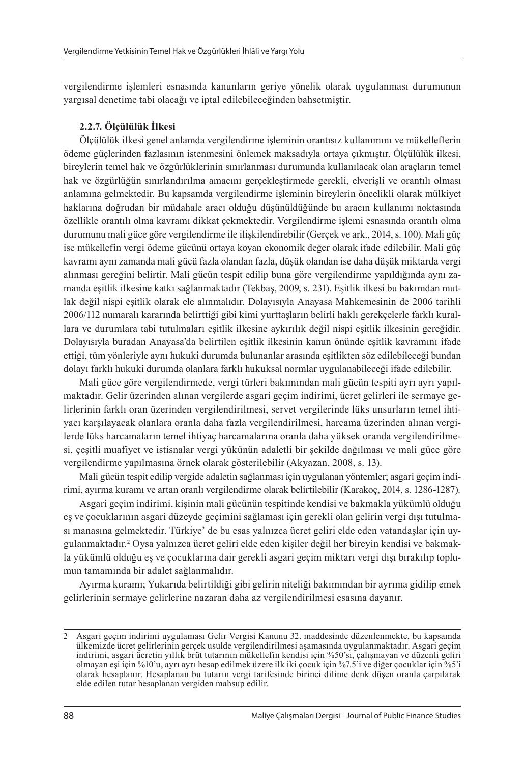vergilendirme işlemleri esnasında kanunların geriye yönelik olarak uygulanması durumunun yargısal denetime tabi olacağı ve iptal edilebileceğinden bahsetmiştir.

#### **2.2.7. Ölçülülük İlkesi**

Ölçülülük ilkesi genel anlamda vergilendirme işleminin orantısız kullanımını ve mükelleflerin ödeme güçlerinden fazlasının istenmesini önlemek maksadıyla ortaya çıkmıştır. Ölçülülük ilkesi, bireylerin temel hak ve özgürlüklerinin sınırlanması durumunda kullanılacak olan araçların temel hak ve özgürlüğün sınırlandırılma amacını gerçekleştirmede gerekli, elverişli ve orantılı olması anlamına gelmektedir. Bu kapsamda vergilendirme işleminin bireylerin öncelikli olarak mülkiyet haklarına doğrudan bir müdahale aracı olduğu düşünüldüğünde bu aracın kullanımı noktasında özellikle orantılı olma kavramı dikkat çekmektedir. Vergilendirme işlemi esnasında orantılı olma durumunu mali güce göre vergilendirme ile ilişkilendirebilir (Gerçek ve ark., 2014, s. 100). Mali güç ise mükellefin vergi ödeme gücünü ortaya koyan ekonomik değer olarak ifade edilebilir. Mali güç kavramı aynı zamanda mali gücü fazla olandan fazla, düşük olandan ise daha düşük miktarda vergi alınması gereğini belirtir. Mali gücün tespit edilip buna göre vergilendirme yapıldığında aynı zamanda eşitlik ilkesine katkı sağlanmaktadır (Tekbaş, 2009, s. 231). Eşitlik ilkesi bu bakımdan mutlak değil nispi eşitlik olarak ele alınmalıdır. Dolayısıyla Anayasa Mahkemesinin de 2006 tarihli 2006/112 numaralı kararında belirttiği gibi kimi yurttaşların belirli haklı gerekçelerle farklı kurallara ve durumlara tabi tutulmaları eşitlik ilkesine aykırılık değil nispi eşitlik ilkesinin gereğidir. Dolayısıyla buradan Anayasa'da belirtilen eşitlik ilkesinin kanun önünde eşitlik kavramını ifade ettiği, tüm yönleriyle aynı hukuki durumda bulunanlar arasında eşitlikten söz edilebileceği bundan dolayı farklı hukuki durumda olanlara farklı hukuksal normlar uygulanabileceği ifade edilebilir.

Mali güce göre vergilendirmede, vergi türleri bakımından mali gücün tespiti ayrı ayrı yapılmaktadır. Gelir üzerinden alınan vergilerde asgari geçim indirimi, ücret gelirleri ile sermaye gelirlerinin farklı oran üzerinden vergilendirilmesi, servet vergilerinde lüks unsurların temel ihtiyacı karşılayacak olanlara oranla daha fazla vergilendirilmesi, harcama üzerinden alınan vergilerde lüks harcamaların temel ihtiyaç harcamalarına oranla daha yüksek oranda vergilendirilmesi, çeşitli muafiyet ve istisnalar vergi yükünün adaletli bir şekilde dağılması ve mali güce göre vergilendirme yapılmasına örnek olarak gösterilebilir (Akyazan, 2008, s. 13).

Mali gücün tespit edilip vergide adaletin sağlanması için uygulanan yöntemler; asgari geçim indirimi, ayırma kuramı ve artan oranlı vergilendirme olarak belirtilebilir (Karakoç, 2014, s. 1286-1287).

Asgari geçim indirimi, kişinin mali gücünün tespitinde kendisi ve bakmakla yükümlü olduğu eş ve çocuklarının asgari düzeyde geçimini sağlaması için gerekli olan gelirin vergi dışı tutulması manasına gelmektedir. Türkiye' de bu esas yalnızca ücret geliri elde eden vatandaşlar için uygulanmaktadır.<sup>2</sup> Oysa yalnızca ücret geliri elde eden kişiler değil her bireyin kendisi ve bakmakla yükümlü olduğu eş ve çocuklarına dair gerekli asgari geçim miktarı vergi dışı bırakılıp toplumun tamamında bir adalet sağlanmalıdır.

Ayırma kuramı; Yukarıda belirtildiği gibi gelirin niteliği bakımından bir ayrıma gidilip emek gelirlerinin sermaye gelirlerine nazaran daha az vergilendirilmesi esasına dayanır.

<sup>2</sup> Asgari geçim indirimi uygulaması Gelir Vergisi Kanunu 32. maddesinde düzenlenmekte, bu kapsamda ülkemizde ücret gelirlerinin gerçek usulde vergilendirilmesi aşamasında uygulanmaktadır. Asgari geçim indirimi, asgari ücretin yıllık brüt tutarının mükellefin kendisi için %50'si, çalışmayan ve düzenli geliri olmayan eşi için %10'u, ayrı ayrı hesap edilmek üzere ilk iki çocuk için %7.5'i ve diğer çocuklar için %5'i olarak hesaplanır. Hesaplanan bu tutarın vergi tarifesinde birinci dilime denk düşen oranla çarpılarak elde edilen tutar hesaplanan vergiden mahsup edilir.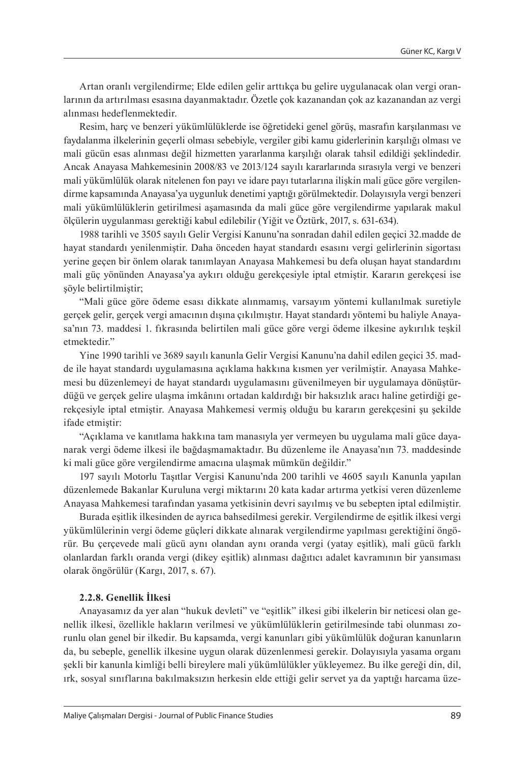Artan oranlı vergilendirme; Elde edilen gelir arttıkça bu gelire uygulanacak olan vergi oranlarının da artırılması esasına dayanmaktadır. Özetle çok kazanandan çok az kazanandan az vergi alınması hedeflenmektedir.

Resim, harç ve benzeri yükümlülüklerde ise öğretideki genel görüş, masrafın karşılanması ve faydalanma ilkelerinin geçerli olması sebebiyle, vergiler gibi kamu giderlerinin karşılığı olması ve mali gücün esas alınması değil hizmetten yararlanma karşılığı olarak tahsil edildiği şeklindedir. Ancak Anayasa Mahkemesinin 2008/83 ve 2013/124 sayılı kararlarında sırasıyla vergi ve benzeri mali yükümlülük olarak nitelenen fon payı ve idare payı tutarlarına ilişkin mali güce göre vergilendirme kapsamında Anayasa'ya uygunluk denetimi yaptığı görülmektedir. Dolayısıyla vergi benzeri mali yükümlülüklerin getirilmesi aşamasında da mali güce göre vergilendirme yapılarak makul ölçülerin uygulanması gerektiği kabul edilebilir (Yiğit ve Öztürk, 2017, s. 631-634).

1988 tarihli ve 3505 sayılı Gelir Vergisi Kanunu'na sonradan dahil edilen geçici 32.madde de hayat standardı yenilenmiştir. Daha önceden hayat standardı esasını vergi gelirlerinin sigortası yerine geçen bir önlem olarak tanımlayan Anayasa Mahkemesi bu defa oluşan hayat standardını mali güç yönünden Anayasa'ya aykırı olduğu gerekçesiyle iptal etmiştir. Kararın gerekçesi ise şöyle belirtilmiştir;

"Mali güce göre ödeme esası dikkate alınmamış, varsayım yöntemi kullanılmak suretiyle gerçek gelir, gerçek vergi amacının dışına çıkılmıştır. Hayat standardı yöntemi bu haliyle Anayasa'nın 73. maddesi 1. fıkrasında belirtilen mali güce göre vergi ödeme ilkesine aykırılık teşkil etmektedir"

Yine 1990 tarihli ve 3689 sayılı kanunla Gelir Vergisi Kanunu'na dahil edilen geçici 35. madde ile hayat standardı uygulamasına açıklama hakkına kısmen yer verilmiştir. Anayasa Mahkemesi bu düzenlemeyi de hayat standardı uygulamasını güvenilmeyen bir uygulamaya dönüştürdüğü ve gerçek gelire ulaşma imkânını ortadan kaldırdığı bir haksızlık aracı haline getirdiği gerekçesiyle iptal etmiştir. Anayasa Mahkemesi vermiş olduğu bu kararın gerekçesini şu şekilde ifade etmiştir:

"Açıklama ve kanıtlama hakkına tam manasıyla yer vermeyen bu uygulama mali güce dayanarak vergi ödeme ilkesi ile bağdaşmamaktadır. Bu düzenleme ile Anayasa'nın 73. maddesinde ki mali güce göre vergilendirme amacına ulaşmak mümkün değildir."

197 sayılı Motorlu Taşıtlar Vergisi Kanunu'nda 200 tarihli ve 4605 sayılı Kanunla yapılan düzenlemede Bakanlar Kuruluna vergi miktarını 20 kata kadar artırma yetkisi veren düzenleme Anayasa Mahkemesi tarafından yasama yetkisinin devri sayılmış ve bu sebepten iptal edilmiştir.

Burada eşitlik ilkesinden de ayrıca bahsedilmesi gerekir. Vergilendirme de eşitlik ilkesi vergi yükümlülerinin vergi ödeme güçleri dikkate alınarak vergilendirme yapılması gerektiğini öngörür. Bu çerçevede mali gücü aynı olandan aynı oranda vergi (yatay eşitlik), mali gücü farklı olanlardan farklı oranda vergi (dikey eşitlik) alınması dağıtıcı adalet kavramının bir yansıması olarak öngörülür (Kargı, 2017, s. 67).

#### **2.2.8. Genellik İlkesi**

Anayasamız da yer alan "hukuk devleti" ve "eşitlik" ilkesi gibi ilkelerin bir neticesi olan genellik ilkesi, özellikle hakların verilmesi ve yükümlülüklerin getirilmesinde tabi olunması zorunlu olan genel bir ilkedir. Bu kapsamda, vergi kanunları gibi yükümlülük doğuran kanunların da, bu sebeple, genellik ilkesine uygun olarak düzenlenmesi gerekir. Dolayısıyla yasama organı şekli bir kanunla kimliği belli bireylere mali yükümlülükler yükleyemez. Bu ilke gereği din, dil, ırk, sosyal sınıflarına bakılmaksızın herkesin elde ettiği gelir servet ya da yaptığı harcama üze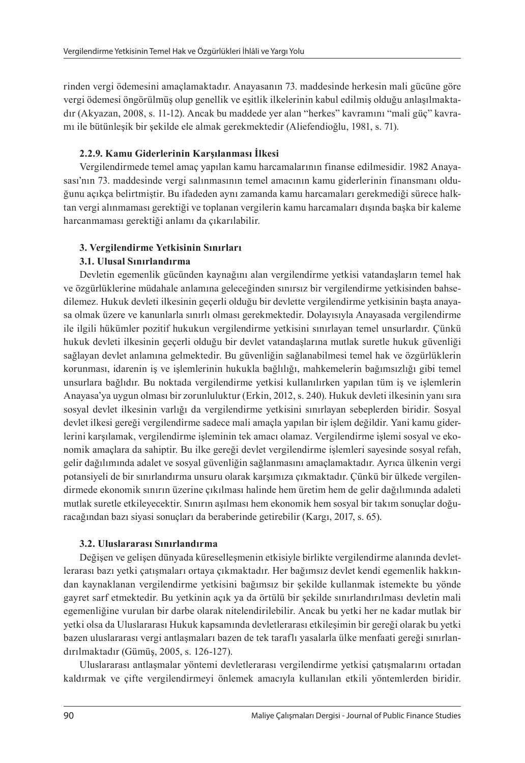rinden vergi ödemesini amaçlamaktadır. Anayasanın 73. maddesinde herkesin mali gücüne göre vergi ödemesi öngörülmüş olup genellik ve eşitlik ilkelerinin kabul edilmiş olduğu anlaşılmaktadır (Akyazan, 2008, s. 11-12). Ancak bu maddede yer alan "herkes" kavramını "mali güç" kavramı ile bütünleşik bir şekilde ele almak gerekmektedir (Aliefendioğlu, 1981, s. 71).

### **2.2.9. Kamu Giderlerinin Karşılanması İlkesi**

Vergilendirmede temel amaç yapılan kamu harcamalarının finanse edilmesidir. 1982 Anayasası'nın 73. maddesinde vergi salınmasının temel amacının kamu giderlerinin finansmanı olduğunu açıkça belirtmiştir. Bu ifadeden aynı zamanda kamu harcamaları gerekmediği sürece halktan vergi alınmaması gerektiği ve toplanan vergilerin kamu harcamaları dışında başka bir kaleme harcanmaması gerektiği anlamı da çıkarılabilir.

## **3. Vergilendirme Yetkisinin Sınırları**

## **3.1. Ulusal Sınırlandırma**

Devletin egemenlik gücünden kaynağını alan vergilendirme yetkisi vatandaşların temel hak ve özgürlüklerine müdahale anlamına geleceğinden sınırsız bir vergilendirme yetkisinden bahsedilemez. Hukuk devleti ilkesinin geçerli olduğu bir devlette vergilendirme yetkisinin başta anayasa olmak üzere ve kanunlarla sınırlı olması gerekmektedir. Dolayısıyla Anayasada vergilendirme ile ilgili hükümler pozitif hukukun vergilendirme yetkisini sınırlayan temel unsurlardır. Çünkü hukuk devleti ilkesinin geçerli olduğu bir devlet vatandaşlarına mutlak suretle hukuk güvenliği sağlayan devlet anlamına gelmektedir. Bu güvenliğin sağlanabilmesi temel hak ve özgürlüklerin korunması, idarenin iş ve işlemlerinin hukukla bağlılığı, mahkemelerin bağımsızlığı gibi temel unsurlara bağlıdır. Bu noktada vergilendirme yetkisi kullanılırken yapılan tüm iş ve işlemlerin Anayasa'ya uygun olması bir zorunluluktur (Erkin, 2012, s. 240). Hukuk devleti ilkesinin yanı sıra sosyal devlet ilkesinin varlığı da vergilendirme yetkisini sınırlayan sebeplerden biridir. Sosyal devlet ilkesi gereği vergilendirme sadece mali amaçla yapılan bir işlem değildir. Yani kamu giderlerini karşılamak, vergilendirme işleminin tek amacı olamaz. Vergilendirme işlemi sosyal ve ekonomik amaçlara da sahiptir. Bu ilke gereği devlet vergilendirme işlemleri sayesinde sosyal refah, gelir dağılımında adalet ve sosyal güvenliğin sağlanmasını amaçlamaktadır. Ayrıca ülkenin vergi potansiyeli de bir sınırlandırma unsuru olarak karşımıza çıkmaktadır. Çünkü bir ülkede vergilendirmede ekonomik sınırın üzerine çıkılması halinde hem üretim hem de gelir dağılımında adaleti mutlak suretle etkileyecektir. Sınırın aşılması hem ekonomik hem sosyal bir takım sonuçlar doğuracağından bazı siyasi sonuçları da beraberinde getirebilir (Kargı, 2017, s. 65).

#### **3.2. Uluslararası Sınırlandırma**

Değişen ve gelişen dünyada küreselleşmenin etkisiyle birlikte vergilendirme alanında devletlerarası bazı yetki çatışmaları ortaya çıkmaktadır. Her bağımsız devlet kendi egemenlik hakkından kaynaklanan vergilendirme yetkisini bağımsız bir şekilde kullanmak istemekte bu yönde gayret sarf etmektedir. Bu yetkinin açık ya da örtülü bir şekilde sınırlandırılması devletin mali egemenliğine vurulan bir darbe olarak nitelendirilebilir. Ancak bu yetki her ne kadar mutlak bir yetki olsa da Uluslararası Hukuk kapsamında devletlerarası etkileşimin bir gereği olarak bu yetki bazen uluslararası vergi antlaşmaları bazen de tek taraflı yasalarla ülke menfaati gereği sınırlandırılmaktadır (Gümüş, 2005, s. 126-127).

Uluslararası antlaşmalar yöntemi devletlerarası vergilendirme yetkisi çatışmalarını ortadan kaldırmak ve çifte vergilendirmeyi önlemek amacıyla kullanılan etkili yöntemlerden biridir.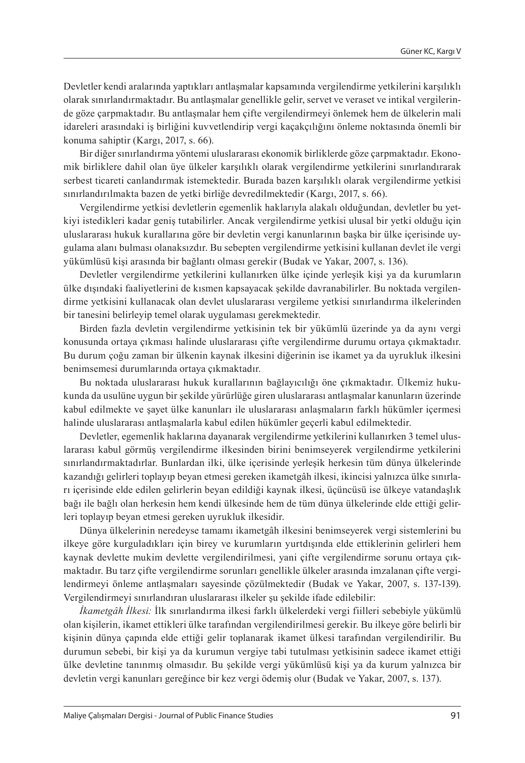Devletler kendi aralarında yaptıkları antlaşmalar kapsamında vergilendirme yetkilerini karşılıklı olarak sınırlandırmaktadır. Bu antlaşmalar genellikle gelir, servet ve veraset ve intikal vergilerinde göze çarpmaktadır. Bu antlaşmalar hem çifte vergilendirmeyi önlemek hem de ülkelerin mali idareleri arasındaki iş birliğini kuvvetlendirip vergi kaçakçılığını önleme noktasında önemli bir konuma sahiptir (Kargı, 2017, s. 66).

Bir diğer sınırlandırma yöntemi uluslararası ekonomik birliklerde göze çarpmaktadır. Ekonomik birliklere dahil olan üye ülkeler karşılıklı olarak vergilendirme yetkilerini sınırlandırarak serbest ticareti canlandırmak istemektedir. Burada bazen karşılıklı olarak vergilendirme yetkisi sınırlandırılmakta bazen de yetki birliğe devredilmektedir (Kargı, 2017, s. 66).

Vergilendirme yetkisi devletlerin egemenlik haklarıyla alakalı olduğundan, devletler bu yetkiyi istedikleri kadar geniş tutabilirler. Ancak vergilendirme yetkisi ulusal bir yetki olduğu için uluslararası hukuk kurallarına göre bir devletin vergi kanunlarının başka bir ülke içerisinde uygulama alanı bulması olanaksızdır. Bu sebepten vergilendirme yetkisini kullanan devlet ile vergi yükümlüsü kişi arasında bir bağlantı olması gerekir (Budak ve Yakar, 2007, s. 136).

Devletler vergilendirme yetkilerini kullanırken ülke içinde yerleşik kişi ya da kurumların ülke dışındaki faaliyetlerini de kısmen kapsayacak şekilde davranabilirler. Bu noktada vergilendirme yetkisini kullanacak olan devlet uluslararası vergileme yetkisi sınırlandırma ilkelerinden bir tanesini belirleyip temel olarak uygulaması gerekmektedir.

Birden fazla devletin vergilendirme yetkisinin tek bir yükümlü üzerinde ya da aynı vergi konusunda ortaya çıkması halinde uluslararası çifte vergilendirme durumu ortaya çıkmaktadır. Bu durum çoğu zaman bir ülkenin kaynak ilkesini diğerinin ise ikamet ya da uyrukluk ilkesini benimsemesi durumlarında ortaya çıkmaktadır.

Bu noktada uluslararası hukuk kurallarının bağlayıcılığı öne çıkmaktadır. Ülkemiz hukukunda da usulüne uygun bir şekilde yürürlüğe giren uluslararası antlaşmalar kanunların üzerinde kabul edilmekte ve şayet ülke kanunları ile uluslararası anlaşmaların farklı hükümler içermesi halinde uluslararası antlaşmalarla kabul edilen hükümler geçerli kabul edilmektedir.

Devletler, egemenlik haklarına dayanarak vergilendirme yetkilerini kullanırken 3 temel uluslararası kabul görmüş vergilendirme ilkesinden birini benimseyerek vergilendirme yetkilerini sınırlandırmaktadırlar. Bunlardan ilki, ülke içerisinde yerleşik herkesin tüm dünya ülkelerinde kazandığı gelirleri toplayıp beyan etmesi gereken ikametgâh ilkesi, ikincisi yalnızca ülke sınırları içerisinde elde edilen gelirlerin beyan edildiği kaynak ilkesi, üçüncüsü ise ülkeye vatandaşlık bağı ile bağlı olan herkesin hem kendi ülkesinde hem de tüm dünya ülkelerinde elde ettiği gelirleri toplayıp beyan etmesi gereken uyrukluk ilkesidir.

Dünya ülkelerinin neredeyse tamamı ikametgâh ilkesini benimseyerek vergi sistemlerini bu ilkeye göre kurguladıkları için birey ve kurumların yurtdışında elde ettiklerinin gelirleri hem kaynak devlette mukim devlette vergilendirilmesi, yani çifte vergilendirme sorunu ortaya çıkmaktadır. Bu tarz çifte vergilendirme sorunları genellikle ülkeler arasında imzalanan çifte vergilendirmeyi önleme antlaşmaları sayesinde çözülmektedir (Budak ve Yakar, 2007, s. 137-139). Vergilendirmeyi sınırlandıran uluslararası ilkeler şu şekilde ifade edilebilir:

*İkametgâh İlkesi:* İlk sınırlandırma ilkesi farklı ülkelerdeki vergi fiilleri sebebiyle yükümlü olan kişilerin, ikamet ettikleri ülke tarafından vergilendirilmesi gerekir. Bu ilkeye göre belirli bir kişinin dünya çapında elde ettiği gelir toplanarak ikamet ülkesi tarafından vergilendirilir. Bu durumun sebebi, bir kişi ya da kurumun vergiye tabi tutulması yetkisinin sadece ikamet ettiği ülke devletine tanınmış olmasıdır. Bu şekilde vergi yükümlüsü kişi ya da kurum yalnızca bir devletin vergi kanunları gereğince bir kez vergi ödemiş olur (Budak ve Yakar, 2007, s. 137).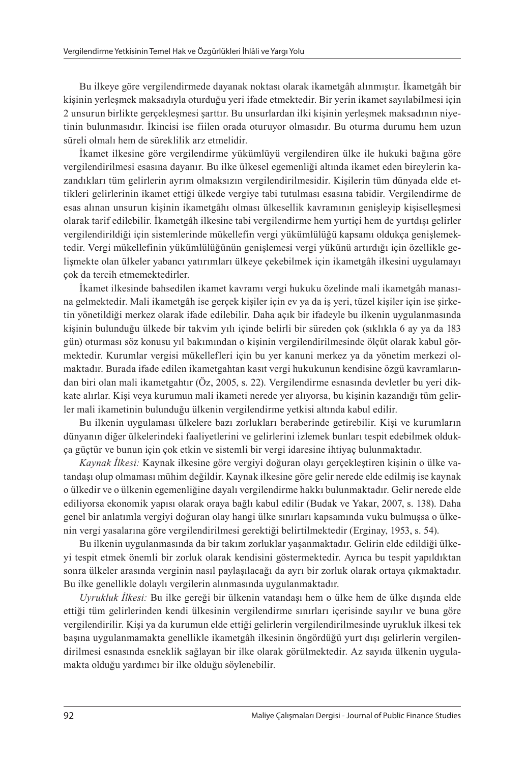Bu ilkeye göre vergilendirmede dayanak noktası olarak ikametgâh alınmıştır. İkametgâh bir kişinin yerleşmek maksadıyla oturduğu yeri ifade etmektedir. Bir yerin ikamet sayılabilmesi için 2 unsurun birlikte gerçekleşmesi şarttır. Bu unsurlardan ilki kişinin yerleşmek maksadının niyetinin bulunmasıdır. İkincisi ise fiilen orada oturuyor olmasıdır. Bu oturma durumu hem uzun süreli olmalı hem de süreklilik arz etmelidir.

İkamet ilkesine göre vergilendirme yükümlüyü vergilendiren ülke ile hukuki bağına göre vergilendirilmesi esasına dayanır. Bu ilke ülkesel egemenliği altında ikamet eden bireylerin kazandıkları tüm gelirlerin ayrım olmaksızın vergilendirilmesidir. Kişilerin tüm dünyada elde ettikleri gelirlerinin ikamet ettiği ülkede vergiye tabi tutulması esasına tabidir. Vergilendirme de esas alınan unsurun kişinin ikametgâhı olması ülkesellik kavramının genişleyip kişiselleşmesi olarak tarif edilebilir. İkametgâh ilkesine tabi vergilendirme hem yurtiçi hem de yurtdışı gelirler vergilendirildiği için sistemlerinde mükellefin vergi yükümlülüğü kapsamı oldukça genişlemektedir. Vergi mükellefinin yükümlülüğünün genişlemesi vergi yükünü artırdığı için özellikle gelişmekte olan ülkeler yabancı yatırımları ülkeye çekebilmek için ikametgâh ilkesini uygulamayı çok da tercih etmemektedirler.

İkamet ilkesinde bahsedilen ikamet kavramı vergi hukuku özelinde mali ikametgâh manasına gelmektedir. Mali ikametgâh ise gerçek kişiler için ev ya da iş yeri, tüzel kişiler için ise şirketin yönetildiği merkez olarak ifade edilebilir. Daha açık bir ifadeyle bu ilkenin uygulanmasında kişinin bulunduğu ülkede bir takvim yılı içinde belirli bir süreden çok (sıklıkla 6 ay ya da 183 gün) oturması söz konusu yıl bakımından o kişinin vergilendirilmesinde ölçüt olarak kabul görmektedir. Kurumlar vergisi mükellefleri için bu yer kanuni merkez ya da yönetim merkezi olmaktadır. Burada ifade edilen ikametgahtan kasıt vergi hukukunun kendisine özgü kavramlarından biri olan mali ikametgahtır (Öz, 2005, s. 22). Vergilendirme esnasında devletler bu yeri dikkate alırlar. Kişi veya kurumun mali ikameti nerede yer alıyorsa, bu kişinin kazandığı tüm gelirler mali ikametinin bulunduğu ülkenin vergilendirme yetkisi altında kabul edilir.

Bu ilkenin uygulaması ülkelere bazı zorlukları beraberinde getirebilir. Kişi ve kurumların dünyanın diğer ülkelerindeki faaliyetlerini ve gelirlerini izlemek bunları tespit edebilmek oldukça güçtür ve bunun için çok etkin ve sistemli bir vergi idaresine ihtiyaç bulunmaktadır.

*Kaynak İlkesi:* Kaynak ilkesine göre vergiyi doğuran olayı gerçekleştiren kişinin o ülke vatandaşı olup olmaması mühim değildir. Kaynak ilkesine göre gelir nerede elde edilmiş ise kaynak o ülkedir ve o ülkenin egemenliğine dayalı vergilendirme hakkı bulunmaktadır. Gelir nerede elde ediliyorsa ekonomik yapısı olarak oraya bağlı kabul edilir (Budak ve Yakar, 2007, s. 138). Daha genel bir anlatımla vergiyi doğuran olay hangi ülke sınırları kapsamında vuku bulmuşsa o ülkenin vergi yasalarına göre vergilendirilmesi gerektiği belirtilmektedir (Erginay, 1953, s. 54).

Bu ilkenin uygulanmasında da bir takım zorluklar yaşanmaktadır. Gelirin elde edildiği ülkeyi tespit etmek önemli bir zorluk olarak kendisini göstermektedir. Ayrıca bu tespit yapıldıktan sonra ülkeler arasında verginin nasıl paylaşılacağı da ayrı bir zorluk olarak ortaya çıkmaktadır. Bu ilke genellikle dolaylı vergilerin alınmasında uygulanmaktadır.

*Uyrukluk İlkesi:* Bu ilke gereği bir ülkenin vatandaşı hem o ülke hem de ülke dışında elde ettiği tüm gelirlerinden kendi ülkesinin vergilendirme sınırları içerisinde sayılır ve buna göre vergilendirilir. Kişi ya da kurumun elde ettiği gelirlerin vergilendirilmesinde uyrukluk ilkesi tek başına uygulanmamakta genellikle ikametgâh ilkesinin öngördüğü yurt dışı gelirlerin vergilendirilmesi esnasında esneklik sağlayan bir ilke olarak görülmektedir. Az sayıda ülkenin uygulamakta olduğu yardımcı bir ilke olduğu söylenebilir.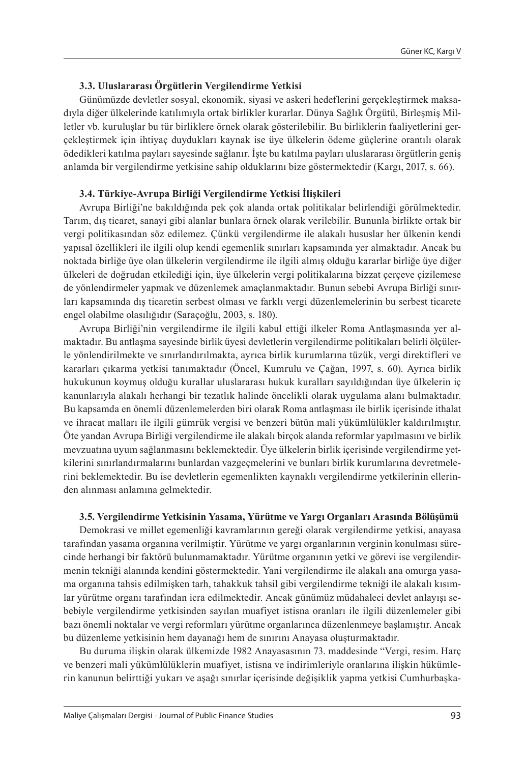#### **3.3. Uluslararası Örgütlerin Vergilendirme Yetkisi**

Günümüzde devletler sosyal, ekonomik, siyasi ve askeri hedeflerini gerçekleştirmek maksadıyla diğer ülkelerinde katılımıyla ortak birlikler kurarlar. Dünya Sağlık Örgütü, Birleşmiş Milletler vb. kuruluşlar bu tür birliklere örnek olarak gösterilebilir. Bu birliklerin faaliyetlerini gerçekleştirmek için ihtiyaç duydukları kaynak ise üye ülkelerin ödeme güçlerine orantılı olarak ödedikleri katılma payları sayesinde sağlanır. İşte bu katılma payları uluslararası örgütlerin geniş anlamda bir vergilendirme yetkisine sahip olduklarını bize göstermektedir (Kargı, 2017, s. 66).

#### **3.4. Türkiye-Avrupa Birliği Vergilendirme Yetkisi İlişkileri**

Avrupa Birliği'ne bakıldığında pek çok alanda ortak politikalar belirlendiği görülmektedir. Tarım, dış ticaret, sanayi gibi alanlar bunlara örnek olarak verilebilir. Bununla birlikte ortak bir vergi politikasından söz edilemez. Çünkü vergilendirme ile alakalı hususlar her ülkenin kendi yapısal özellikleri ile ilgili olup kendi egemenlik sınırları kapsamında yer almaktadır. Ancak bu noktada birliğe üye olan ülkelerin vergilendirme ile ilgili almış olduğu kararlar birliğe üye diğer ülkeleri de doğrudan etkilediği için, üye ülkelerin vergi politikalarına bizzat çerçeve çizilemese de yönlendirmeler yapmak ve düzenlemek amaçlanmaktadır. Bunun sebebi Avrupa Birliği sınırları kapsamında dış ticaretin serbest olması ve farklı vergi düzenlemelerinin bu serbest ticarete engel olabilme olasılığıdır (Saraçoğlu, 2003, s. 180).

Avrupa Birliği'nin vergilendirme ile ilgili kabul ettiği ilkeler Roma Antlaşmasında yer almaktadır. Bu antlaşma sayesinde birlik üyesi devletlerin vergilendirme politikaları belirli ölçülerle yönlendirilmekte ve sınırlandırılmakta, ayrıca birlik kurumlarına tüzük, vergi direktifleri ve kararları çıkarma yetkisi tanımaktadır (Öncel, Kumrulu ve Çağan, 1997, s. 60). Ayrıca birlik hukukunun koymuş olduğu kurallar uluslararası hukuk kuralları sayıldığından üye ülkelerin iç kanunlarıyla alakalı herhangi bir tezatlık halinde öncelikli olarak uygulama alanı bulmaktadır. Bu kapsamda en önemli düzenlemelerden biri olarak Roma antlaşması ile birlik içerisinde ithalat ve ihracat malları ile ilgili gümrük vergisi ve benzeri bütün mali yükümlülükler kaldırılmıştır. Öte yandan Avrupa Birliği vergilendirme ile alakalı birçok alanda reformlar yapılmasını ve birlik mevzuatına uyum sağlanmasını beklemektedir. Üye ülkelerin birlik içerisinde vergilendirme yetkilerini sınırlandırmalarını bunlardan vazgeçmelerini ve bunları birlik kurumlarına devretmelerini beklemektedir. Bu ise devletlerin egemenlikten kaynaklı vergilendirme yetkilerinin ellerinden alınması anlamına gelmektedir.

#### **3.5. Vergilendirme Yetkisinin Yasama, Yürütme ve Yargı Organları Arasında Bölüşümü**

Demokrasi ve millet egemenliği kavramlarının gereği olarak vergilendirme yetkisi, anayasa tarafından yasama organına verilmiştir. Yürütme ve yargı organlarının verginin konulması sürecinde herhangi bir faktörü bulunmamaktadır. Yürütme organının yetki ve görevi ise vergilendirmenin tekniği alanında kendini göstermektedir. Yani vergilendirme ile alakalı ana omurga yasama organına tahsis edilmişken tarh, tahakkuk tahsil gibi vergilendirme tekniği ile alakalı kısımlar yürütme organı tarafından icra edilmektedir. Ancak günümüz müdahaleci devlet anlayışı sebebiyle vergilendirme yetkisinden sayılan muafiyet istisna oranları ile ilgili düzenlemeler gibi bazı önemli noktalar ve vergi reformları yürütme organlarınca düzenlenmeye başlamıştır. Ancak bu düzenleme yetkisinin hem dayanağı hem de sınırını Anayasa oluşturmaktadır.

Bu duruma ilişkin olarak ülkemizde 1982 Anayasasının 73. maddesinde "Vergi, resim. Harç ve benzeri mali yükümlülüklerin muafiyet, istisna ve indirimleriyle oranlarına ilişkin hükümlerin kanunun belirttiği yukarı ve aşağı sınırlar içerisinde değişiklik yapma yetkisi Cumhurbaşka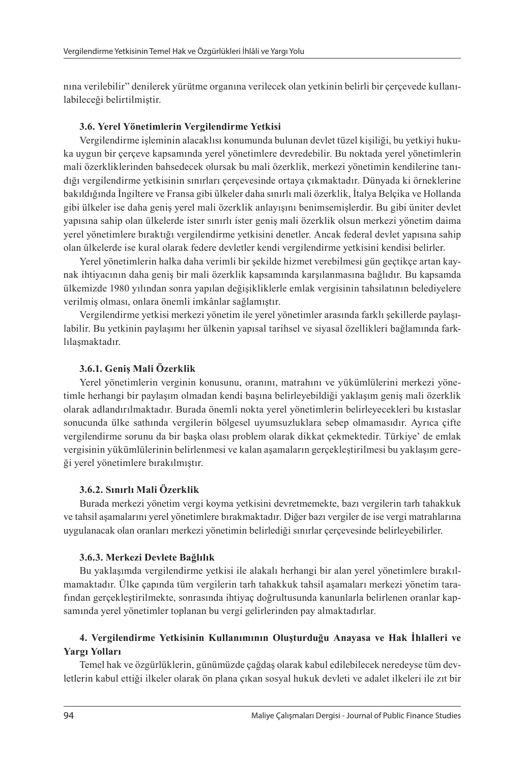nına verilebilir" denilerek yürütme organına verilecek olan yetkinin belirli bir çerçevede kullanılabileceği belirtilmiştir.

#### **3.6. Yerel Yönetimlerin Vergilendirme Yetkisi**

Vergilendirme işleminin alacaklısı konumunda bulunan devlet tüzel kişiliği, bu yetkiyi hukuka uygun bir çerçeve kapsamında yerel yönetimlere devredebilir. Bu noktada yerel yönetimlerin mali özerkliklerinden bahsedecek olursak bu mali özerklik, merkezi yönetimin kendilerine tanıdığı vergilendirme yetkisinin sınırları çerçevesinde ortaya çıkmaktadır. Dünyada ki örneklerine bakıldığında İngiltere ve Fransa gibi ülkeler daha sınırlı mali özerklik, İtalya Belçika ve Hollanda gibi ülkeler ise daha geniş yerel mali özerklik anlayışını benimsemişlerdir. Bu gibi üniter devlet yapısına sahip olan ülkelerde ister sınırlı ister geniş mali özerklik olsun merkezi yönetim daima yerel yönetimlere bıraktığı vergilendirme yetkisini denetler. Ancak federal devlet yapısına sahip olan ülkelerde ise kural olarak federe devletler kendi vergilendirme yetkisini kendisi belirler.

Yerel yönetimlerin halka daha verimli bir şekilde hizmet verebilmesi gün geçtikçe artan kaynak ihtiyacının daha geniş bir mali özerklik kapsamında karşılanmasına bağlıdır. Bu kapsamda ülkemizde 1980 yılından sonra yapılan değişikliklerle emlak vergisinin tahsilatının belediyelere verilmiş olması, onlara önemli imkânlar sağlamıştır.

Vergilendirme yetkisi merkezi yönetim ile yerel yönetimler arasında farklı şekillerde paylaşılabilir. Bu yetkinin paylaşımı her ülkenin yapısal tarihsel ve siyasal özellikleri bağlamında farklılaşmaktadır.

#### **3.6.1. Geniş Mali Özerklik**

Yerel yönetimlerin verginin konusunu, oranını, matrahını ve yükümlülerini merkezi yönetimle herhangi bir paylaşım olmadan kendi başına belirleyebildiği yaklaşım geniş mali özerklik olarak adlandırılmaktadır. Burada önemli nokta yerel yönetimlerin belirleyecekleri bu kıstaslar sonucunda ülke sathında vergilerin bölgesel uyumsuzluklara sebep olmamasıdır. Ayrıca çifte vergilendirme sorunu da bir başka olası problem olarak dikkat çekmektedir. Türkiye' de emlak vergisinin yükümlülerinin belirlenmesi ve kalan aşamaların gerçekleştirilmesi bu yaklaşım gereği yerel yönetimlere bırakılmıştır.

#### **3.6.2. Sınırlı Mali Özerklik**

Burada merkezi yönetim vergi koyma yetkisini devretmemekte, bazı vergilerin tarh tahakkuk ve tahsil aşamalarını yerel yönetimlere bırakmaktadır. Diğer bazı vergiler de ise vergi matrahlarına uygulanacak olan oranları merkezi yönetimin belirlediği sınırlar çerçevesinde belirleyebilirler.

#### **3.6.3. Merkezi Devlete Bağlılık**

Bu yaklaşımda vergilendirme yetkisi ile alakalı herhangi bir alan yerel yönetimlere bırakılmamaktadır. Ülke çapında tüm vergilerin tarh tahakkuk tahsil aşamaları merkezi yönetim tarafından gerçekleştirilmekte, sonrasında ihtiyaç doğrultusunda kanunlarla belirlenen oranlar kapsamında yerel yönetimler toplanan bu vergi gelirlerinden pay almaktadırlar.

# **4. Vergilendirme Yetkisinin Kullanımının Oluşturduğu Anayasa ve Hak İhlalleri ve Yargı Yolları**

Temel hak ve özgürlüklerin, günümüzde çağdaş olarak kabul edilebilecek neredeyse tüm devletlerin kabul ettiği ilkeler olarak ön plana çıkan sosyal hukuk devleti ve adalet ilkeleri ile zıt bir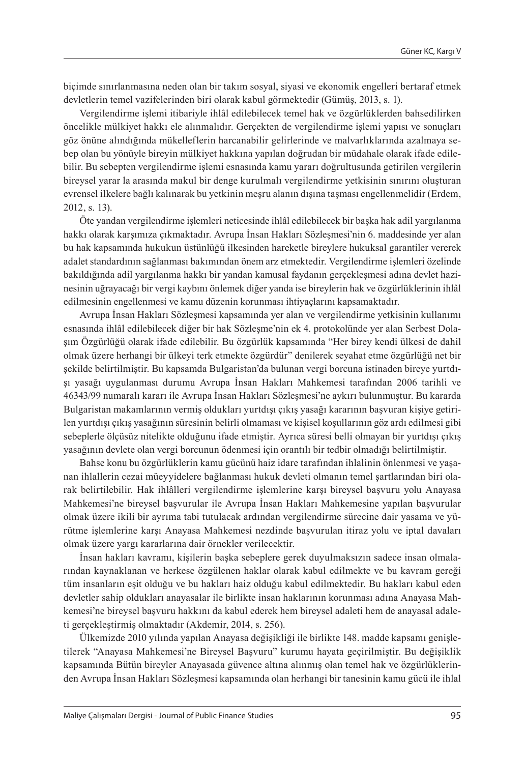biçimde sınırlanmasına neden olan bir takım sosyal, siyasi ve ekonomik engelleri bertaraf etmek devletlerin temel vazifelerinden biri olarak kabul görmektedir (Gümüş, 2013, s. 1).

Vergilendirme işlemi itibariyle ihlâl edilebilecek temel hak ve özgürlüklerden bahsedilirken öncelikle mülkiyet hakkı ele alınmalıdır. Gerçekten de vergilendirme işlemi yapısı ve sonuçları göz önüne alındığında mükelleflerin harcanabilir gelirlerinde ve malvarlıklarında azalmaya sebep olan bu yönüyle bireyin mülkiyet hakkına yapılan doğrudan bir müdahale olarak ifade edilebilir. Bu sebepten vergilendirme işlemi esnasında kamu yararı doğrultusunda getirilen vergilerin bireysel yarar la arasında makul bir denge kurulmalı vergilendirme yetkisinin sınırını oluşturan evrensel ilkelere bağlı kalınarak bu yetkinin meşru alanın dışına taşması engellenmelidir (Erdem, 2012, s. 13).

Öte yandan vergilendirme işlemleri neticesinde ihlâl edilebilecek bir başka hak adil yargılanma hakkı olarak karşımıza çıkmaktadır. Avrupa İnsan Hakları Sözleşmesi'nin 6. maddesinde yer alan bu hak kapsamında hukukun üstünlüğü ilkesinden hareketle bireylere hukuksal garantiler vererek adalet standardının sağlanması bakımından önem arz etmektedir. Vergilendirme işlemleri özelinde bakıldığında adil yargılanma hakkı bir yandan kamusal faydanın gerçekleşmesi adına devlet hazinesinin uğrayacağı bir vergi kaybını önlemek diğer yanda ise bireylerin hak ve özgürlüklerinin ihlâl edilmesinin engellenmesi ve kamu düzenin korunması ihtiyaçlarını kapsamaktadır.

Avrupa İnsan Hakları Sözleşmesi kapsamında yer alan ve vergilendirme yetkisinin kullanımı esnasında ihlâl edilebilecek diğer bir hak Sözleşme'nin ek 4. protokolünde yer alan Serbest Dolaşım Özgürlüğü olarak ifade edilebilir. Bu özgürlük kapsamında "Her birey kendi ülkesi de dahil olmak üzere herhangi bir ülkeyi terk etmekte özgürdür" denilerek seyahat etme özgürlüğü net bir şekilde belirtilmiştir. Bu kapsamda Bulgaristan'da bulunan vergi borcuna istinaden bireye yurtdışı yasağı uygulanması durumu Avrupa İnsan Hakları Mahkemesi tarafından 2006 tarihli ve 46343/99 numaralı kararı ile Avrupa İnsan Hakları Sözleşmesi'ne aykırı bulunmuştur. Bu kararda Bulgaristan makamlarının vermiş oldukları yurtdışı çıkış yasağı kararının başvuran kişiye getirilen yurtdışı çıkış yasağının süresinin belirli olmaması ve kişisel koşullarının göz ardı edilmesi gibi sebeplerle ölçüsüz nitelikte olduğunu ifade etmiştir. Ayrıca süresi belli olmayan bir yurtdışı çıkış yasağının devlete olan vergi borcunun ödenmesi için orantılı bir tedbir olmadığı belirtilmiştir.

Bahse konu bu özgürlüklerin kamu gücünü haiz idare tarafından ihlalinin önlenmesi ve yaşanan ihlallerin cezai müeyyidelere bağlanması hukuk devleti olmanın temel şartlarından biri olarak belirtilebilir. Hak ihlâlleri vergilendirme işlemlerine karşı bireysel başvuru yolu Anayasa Mahkemesi'ne bireysel başvurular ile Avrupa İnsan Hakları Mahkemesine yapılan başvurular olmak üzere ikili bir ayrıma tabi tutulacak ardından vergilendirme sürecine dair yasama ve yürütme işlemlerine karşı Anayasa Mahkemesi nezdinde başvurulan itiraz yolu ve iptal davaları olmak üzere yargı kararlarına dair örnekler verilecektir.

İnsan hakları kavramı, kişilerin başka sebeplere gerek duyulmaksızın sadece insan olmalarından kaynaklanan ve herkese özgülenen haklar olarak kabul edilmekte ve bu kavram gereği tüm insanların eşit olduğu ve bu hakları haiz olduğu kabul edilmektedir. Bu hakları kabul eden devletler sahip oldukları anayasalar ile birlikte insan haklarının korunması adına Anayasa Mahkemesi'ne bireysel başvuru hakkını da kabul ederek hem bireysel adaleti hem de anayasal adaleti gerçekleştirmiş olmaktadır (Akdemir, 2014, s. 256).

Ülkemizde 2010 yılında yapılan Anayasa değişikliği ile birlikte 148. madde kapsamı genişletilerek "Anayasa Mahkemesi'ne Bireysel Başvuru" kurumu hayata geçirilmiştir. Bu değişiklik kapsamında Bütün bireyler Anayasada güvence altına alınmış olan temel hak ve özgürlüklerinden Avrupa İnsan Hakları Sözleşmesi kapsamında olan herhangi bir tanesinin kamu gücü ile ihlal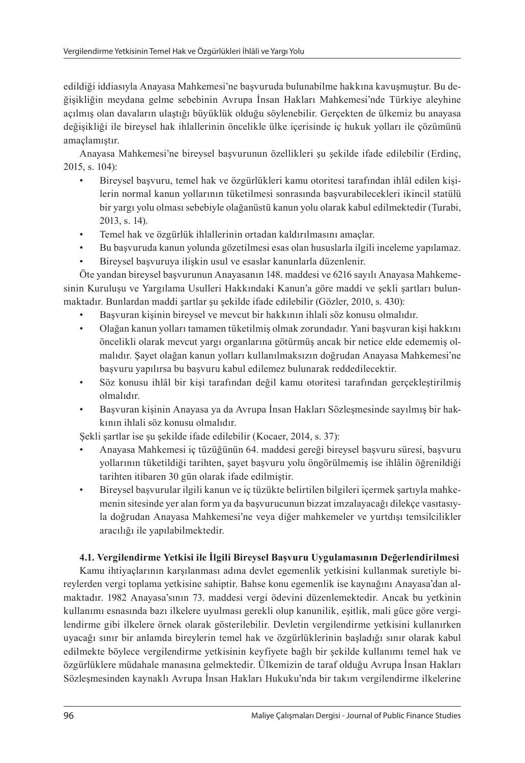edildiği iddiasıyla Anayasa Mahkemesi'ne başvuruda bulunabilme hakkına kavuşmuştur. Bu değişikliğin meydana gelme sebebinin Avrupa İnsan Hakları Mahkemesi'nde Türkiye aleyhine açılmış olan davaların ulaştığı büyüklük olduğu söylenebilir. Gerçekten de ülkemiz bu anayasa değişikliği ile bireysel hak ihlallerinin öncelikle ülke içerisinde iç hukuk yolları ile çözümünü amaçlamıştır.

Anayasa Mahkemesi'ne bireysel başvurunun özellikleri şu şekilde ifade edilebilir (Erdinç, 2015, s. 104):

- Bireysel başvuru, temel hak ve özgürlükleri kamu otoritesi tarafından ihlâl edilen kişilerin normal kanun yollarının tüketilmesi sonrasında başvurabilecekleri ikincil statülü bir yargı yolu olması sebebiyle olağanüstü kanun yolu olarak kabul edilmektedir (Turabi, 2013, s. 14).
- Temel hak ve özgürlük ihlallerinin ortadan kaldırılmasını amaçlar.
- Bu başvuruda kanun yolunda gözetilmesi esas olan hususlarla ilgili inceleme yapılamaz.
- Bireysel başvuruya ilişkin usul ve esaslar kanunlarla düzenlenir.

Öte yandan bireysel başvurunun Anayasanın 148. maddesi ve 6216 sayılı Anayasa Mahkemesinin Kuruluşu ve Yargılama Usulleri Hakkındaki Kanun'a göre maddi ve şekli şartları bulunmaktadır. Bunlardan maddi şartlar şu şekilde ifade edilebilir (Gözler, 2010, s. 430):

- Başvuran kişinin bireysel ve mevcut bir hakkının ihlali söz konusu olmalıdır.
- Olağan kanun yolları tamamen tüketilmiş olmak zorundadır. Yani başvuran kişi hakkını öncelikli olarak mevcut yargı organlarına götürmüş ancak bir netice elde edememiş olmalıdır. Şayet olağan kanun yolları kullanılmaksızın doğrudan Anayasa Mahkemesi'ne başvuru yapılırsa bu başvuru kabul edilemez bulunarak reddedilecektir.
- Söz konusu ihlâl bir kişi tarafından değil kamu otoritesi tarafından gerçekleştirilmiş olmalıdır.
- Başvuran kişinin Anayasa ya da Avrupa İnsan Hakları Sözleşmesinde sayılmış bir hakkının ihlali söz konusu olmalıdır.

Şekli şartlar ise şu şekilde ifade edilebilir (Kocaer, 2014, s. 37):

- Anayasa Mahkemesi iç tüzüğünün 64. maddesi gereği bireysel başvuru süresi, başvuru yollarının tüketildiği tarihten, şayet başvuru yolu öngörülmemiş ise ihlâlin öğrenildiği tarihten itibaren 30 gün olarak ifade edilmiştir.
- Bireysel başvurular ilgili kanun ve iç tüzükte belirtilen bilgileri içermek şartıyla mahkemenin sitesinde yer alan form ya da başvurucunun bizzat imzalayacağı dilekçe vasıtasıyla doğrudan Anayasa Mahkemesi'ne veya diğer mahkemeler ve yurtdışı temsilcilikler aracılığı ile yapılabilmektedir.

# **4.1. Vergilendirme Yetkisi ile İlgili Bireysel Başvuru Uygulamasının Değerlendirilmesi**

Kamu ihtiyaçlarının karşılanması adına devlet egemenlik yetkisini kullanmak suretiyle bireylerden vergi toplama yetkisine sahiptir. Bahse konu egemenlik ise kaynağını Anayasa'dan almaktadır. 1982 Anayasa'sının 73. maddesi vergi ödevini düzenlemektedir. Ancak bu yetkinin kullanımı esnasında bazı ilkelere uyulması gerekli olup kanunilik, eşitlik, mali güce göre vergilendirme gibi ilkelere örnek olarak gösterilebilir. Devletin vergilendirme yetkisini kullanırken uyacağı sınır bir anlamda bireylerin temel hak ve özgürlüklerinin başladığı sınır olarak kabul edilmekte böylece vergilendirme yetkisinin keyfiyete bağlı bir şekilde kullanımı temel hak ve özgürlüklere müdahale manasına gelmektedir. Ülkemizin de taraf olduğu Avrupa İnsan Hakları Sözleşmesinden kaynaklı Avrupa İnsan Hakları Hukuku'nda bir takım vergilendirme ilkelerine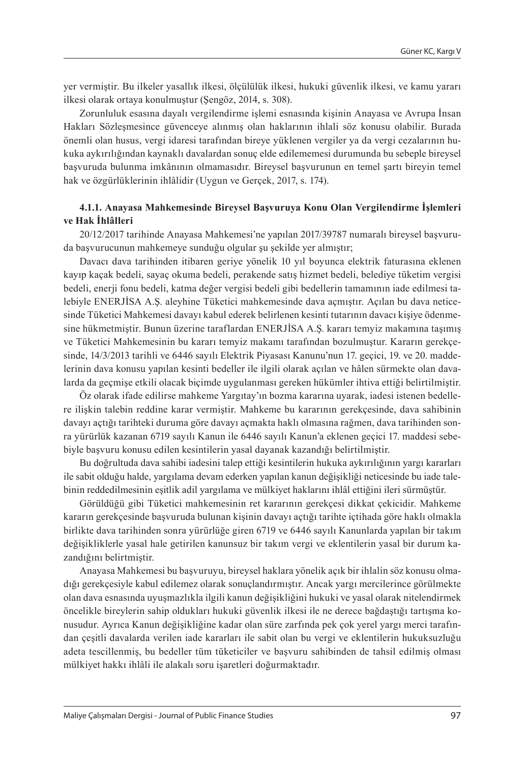yer vermiştir. Bu ilkeler yasallık ilkesi, ölçülülük ilkesi, hukuki güvenlik ilkesi, ve kamu yararı ilkesi olarak ortaya konulmuştur (Şengöz, 2014, s. 308).

Zorunluluk esasına dayalı vergilendirme işlemi esnasında kişinin Anayasa ve Avrupa İnsan Hakları Sözleşmesince güvenceye alınmış olan haklarının ihlali söz konusu olabilir. Burada önemli olan husus, vergi idaresi tarafından bireye yüklenen vergiler ya da vergi cezalarının hukuka aykırılığından kaynaklı davalardan sonuç elde edilememesi durumunda bu sebeple bireysel başvuruda bulunma imkânının olmamasıdır. Bireysel başvurunun en temel şartı bireyin temel hak ve özgürlüklerinin ihlâlidir (Uygun ve Gerçek, 2017, s. 174).

## **4.1.1. Anayasa Mahkemesinde Bireysel Başvuruya Konu Olan Vergilendirme İşlemleri ve Hak İhlâlleri**

20/12/2017 tarihinde Anayasa Mahkemesi'ne yapılan 2017/39787 numaralı bireysel başvuruda başvurucunun mahkemeye sunduğu olgular şu şekilde yer almıştır;

Davacı dava tarihinden itibaren geriye yönelik 10 yıl boyunca elektrik faturasına eklenen kayıp kaçak bedeli, sayaç okuma bedeli, perakende satış hizmet bedeli, belediye tüketim vergisi bedeli, enerji fonu bedeli, katma değer vergisi bedeli gibi bedellerin tamamının iade edilmesi talebiyle ENERJİSA A.Ş. aleyhine Tüketici mahkemesinde dava açmıştır. Açılan bu dava neticesinde Tüketici Mahkemesi davayı kabul ederek belirlenen kesinti tutarının davacı kişiye ödenmesine hükmetmiştir. Bunun üzerine taraflardan ENERJİSA A.Ş. kararı temyiz makamına taşımış ve Tüketici Mahkemesinin bu kararı temyiz makamı tarafından bozulmuştur. Kararın gerekçesinde, 14/3/2013 tarihli ve 6446 sayılı Elektrik Piyasası Kanunu'nun 17. geçici, 19. ve 20. maddelerinin dava konusu yapılan kesinti bedeller ile ilgili olarak açılan ve hâlen sürmekte olan davalarda da geçmişe etkili olacak biçimde uygulanması gereken hükümler ihtiva ettiği belirtilmiştir.

Öz olarak ifade edilirse mahkeme Yargıtay'ın bozma kararına uyarak, iadesi istenen bedellere ilişkin talebin reddine karar vermiştir. Mahkeme bu kararının gerekçesinde, dava sahibinin davayı açtığı tarihteki duruma göre davayı açmakta haklı olmasına rağmen, dava tarihinden sonra yürürlük kazanan 6719 sayılı Kanun ile 6446 sayılı Kanun'a eklenen geçici 17. maddesi sebebiyle başvuru konusu edilen kesintilerin yasal dayanak kazandığı belirtilmiştir.

Bu doğrultuda dava sahibi iadesini talep ettiği kesintilerin hukuka aykırılığının yargı kararları ile sabit olduğu halde, yargılama devam ederken yapılan kanun değişikliği neticesinde bu iade talebinin reddedilmesinin eşitlik adil yargılama ve mülkiyet haklarını ihlâl ettiğini ileri sürmüştür.

Görüldüğü gibi Tüketici mahkemesinin ret kararının gerekçesi dikkat çekicidir. Mahkeme kararın gerekçesinde başvuruda bulunan kişinin davayı açtığı tarihte içtihada göre haklı olmakla birlikte dava tarihinden sonra yürürlüğe giren 6719 ve 6446 sayılı Kanunlarda yapılan bir takım değişikliklerle yasal hale getirilen kanunsuz bir takım vergi ve eklentilerin yasal bir durum kazandığını belirtmiştir.

Anayasa Mahkemesi bu başvuruyu, bireysel haklara yönelik açık bir ihlalin söz konusu olmadığı gerekçesiyle kabul edilemez olarak sonuçlandırmıştır. Ancak yargı mercilerince görülmekte olan dava esnasında uyuşmazlıkla ilgili kanun değişikliğini hukuki ve yasal olarak nitelendirmek öncelikle bireylerin sahip oldukları hukuki güvenlik ilkesi ile ne derece bağdaştığı tartışma konusudur. Ayrıca Kanun değişikliğine kadar olan süre zarfında pek çok yerel yargı merci tarafından çeşitli davalarda verilen iade kararları ile sabit olan bu vergi ve eklentilerin hukuksuzluğu adeta tescillenmiş, bu bedeller tüm tüketiciler ve başvuru sahibinden de tahsil edilmiş olması mülkiyet hakkı ihlâli ile alakalı soru işaretleri doğurmaktadır.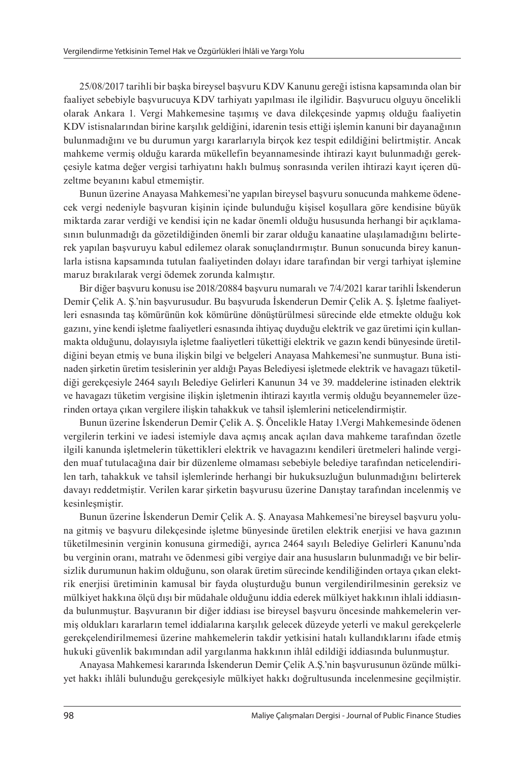25/08/2017 tarihli bir başka bireysel başvuru KDV Kanunu gereği istisna kapsamında olan bir faaliyet sebebiyle başvurucuya KDV tarhiyatı yapılması ile ilgilidir. Başvurucu olguyu öncelikli olarak Ankara 1. Vergi Mahkemesine taşımış ve dava dilekçesinde yapmış olduğu faaliyetin KDV istisnalarından birine karşılık geldiğini, idarenin tesis ettiği işlemin kanuni bir dayanağının bulunmadığını ve bu durumun yargı kararlarıyla birçok kez tespit edildiğini belirtmiştir. Ancak mahkeme vermiş olduğu kararda mükellefin beyannamesinde ihtirazi kayıt bulunmadığı gerekçesiyle katma değer vergisi tarhiyatını haklı bulmuş sonrasında verilen ihtirazi kayıt içeren düzeltme beyanını kabul etmemiştir.

Bunun üzerine Anayasa Mahkemesi'ne yapılan bireysel başvuru sonucunda mahkeme ödenecek vergi nedeniyle başvuran kişinin içinde bulunduğu kişisel koşullara göre kendisine büyük miktarda zarar verdiği ve kendisi için ne kadar önemli olduğu hususunda herhangi bir açıklamasının bulunmadığı da gözetildiğinden önemli bir zarar olduğu kanaatine ulaşılamadığını belirterek yapılan başvuruyu kabul edilemez olarak sonuçlandırmıştır. Bunun sonucunda birey kanunlarla istisna kapsamında tutulan faaliyetinden dolayı idare tarafından bir vergi tarhiyat işlemine maruz bırakılarak vergi ödemek zorunda kalmıştır.

Bir diğer başvuru konusu ise 2018/20884 başvuru numaralı ve 7/4/2021 karar tarihli İskenderun Demir Çelik A. Ş.'nin başvurusudur. Bu başvuruda İskenderun Demir Çelik A. Ş. İşletme faaliyetleri esnasında taş kömürünün kok kömürüne dönüştürülmesi sürecinde elde etmekte olduğu kok gazını, yine kendi işletme faaliyetleri esnasında ihtiyaç duyduğu elektrik ve gaz üretimi için kullanmakta olduğunu, dolayısıyla işletme faaliyetleri tükettiği elektrik ve gazın kendi bünyesinde üretildiğini beyan etmiş ve buna ilişkin bilgi ve belgeleri Anayasa Mahkemesi'ne sunmuştur. Buna istinaden şirketin üretim tesislerinin yer aldığı Payas Belediyesi işletmede elektrik ve havagazı tüketildiği gerekçesiyle 2464 sayılı Belediye Gelirleri Kanunun 34 ve 39. maddelerine istinaden elektrik ve havagazı tüketim vergisine ilişkin işletmenin ihtirazi kayıtla vermiş olduğu beyannemeler üzerinden ortaya çıkan vergilere ilişkin tahakkuk ve tahsil işlemlerini neticelendirmiştir.

Bunun üzerine İskenderun Demir Çelik A. Ş. Öncelikle Hatay 1.Vergi Mahkemesinde ödenen vergilerin terkini ve iadesi istemiyle dava açmış ancak açılan dava mahkeme tarafından özetle ilgili kanunda işletmelerin tükettikleri elektrik ve havagazını kendileri üretmeleri halinde vergiden muaf tutulacağına dair bir düzenleme olmaması sebebiyle belediye tarafından neticelendirilen tarh, tahakkuk ve tahsil işlemlerinde herhangi bir hukuksuzluğun bulunmadığını belirterek davayı reddetmiştir. Verilen karar şirketin başvurusu üzerine Danıştay tarafından incelenmiş ve kesinleşmiştir.

Bunun üzerine İskenderun Demir Çelik A. Ş. Anayasa Mahkemesi'ne bireysel başvuru yoluna gitmiş ve başvuru dilekçesinde işletme bünyesinde üretilen elektrik enerjisi ve hava gazının tüketilmesinin verginin konusuna girmediği, ayrıca 2464 sayılı Belediye Gelirleri Kanunu'nda bu verginin oranı, matrahı ve ödenmesi gibi vergiye dair ana hususların bulunmadığı ve bir belirsizlik durumunun hakim olduğunu, son olarak üretim sürecinde kendiliğinden ortaya çıkan elektrik enerjisi üretiminin kamusal bir fayda oluşturduğu bunun vergilendirilmesinin gereksiz ve mülkiyet hakkına ölçü dışı bir müdahale olduğunu iddia ederek mülkiyet hakkının ihlali iddiasında bulunmuştur. Başvuranın bir diğer iddiası ise bireysel başvuru öncesinde mahkemelerin vermiş oldukları kararların temel iddialarına karşılık gelecek düzeyde yeterli ve makul gerekçelerle gerekçelendirilmemesi üzerine mahkemelerin takdir yetkisini hatalı kullandıklarını ifade etmiş hukuki güvenlik bakımından adil yargılanma hakkının ihlâl edildiği iddiasında bulunmuştur.

Anayasa Mahkemesi kararında İskenderun Demir Çelik A.Ş.'nin başvurusunun özünde mülkiyet hakkı ihlâli bulunduğu gerekçesiyle mülkiyet hakkı doğrultusunda incelenmesine geçilmiştir.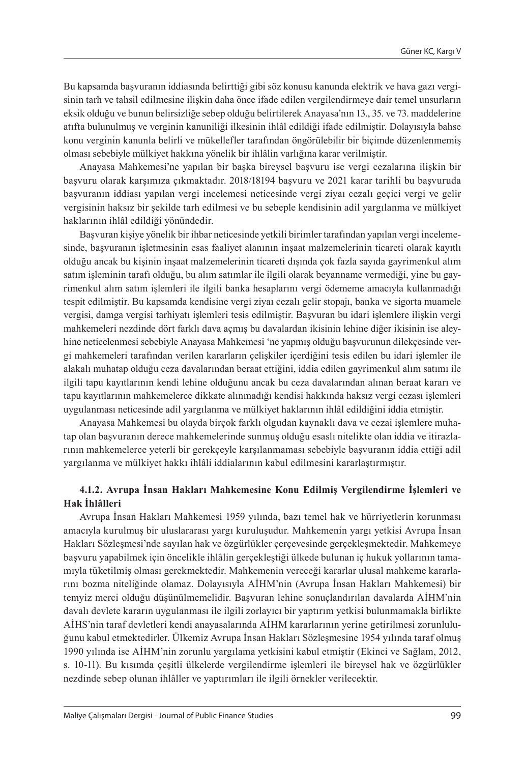Bu kapsamda başvuranın iddiasında belirttiği gibi söz konusu kanunda elektrik ve hava gazı vergisinin tarh ve tahsil edilmesine ilişkin daha önce ifade edilen vergilendirmeye dair temel unsurların eksik olduğu ve bunun belirsizliğe sebep olduğu belirtilerek Anayasa'nın 13., 35. ve 73. maddelerine atıfta bulunulmuş ve verginin kanuniliği ilkesinin ihlâl edildiği ifade edilmiştir. Dolayısıyla bahse konu verginin kanunla belirli ve mükellefler tarafından öngörülebilir bir biçimde düzenlenmemiş olması sebebiyle mülkiyet hakkına yönelik bir ihlâlin varlığına karar verilmiştir.

Anayasa Mahkemesi'ne yapılan bir başka bireysel başvuru ise vergi cezalarına ilişkin bir başvuru olarak karşımıza çıkmaktadır. 2018/18194 başvuru ve 2021 karar tarihli bu başvuruda başvuranın iddiası yapılan vergi incelemesi neticesinde vergi ziyaı cezalı geçici vergi ve gelir vergisinin haksız bir şekilde tarh edilmesi ve bu sebeple kendisinin adil yargılanma ve mülkiyet haklarının ihlâl edildiği yönündedir.

Başvuran kişiye yönelik bir ihbar neticesinde yetkili birimler tarafından yapılan vergi incelemesinde, başvuranın işletmesinin esas faaliyet alanının inşaat malzemelerinin ticareti olarak kayıtlı olduğu ancak bu kişinin inşaat malzemelerinin ticareti dışında çok fazla sayıda gayrimenkul alım satım işleminin tarafı olduğu, bu alım satımlar ile ilgili olarak beyanname vermediği, yine bu gayrimenkul alım satım işlemleri ile ilgili banka hesaplarını vergi ödememe amacıyla kullanmadığı tespit edilmiştir. Bu kapsamda kendisine vergi ziyaı cezalı gelir stopajı, banka ve sigorta muamele vergisi, damga vergisi tarhiyatı işlemleri tesis edilmiştir. Başvuran bu idari işlemlere ilişkin vergi mahkemeleri nezdinde dört farklı dava açmış bu davalardan ikisinin lehine diğer ikisinin ise aleyhine neticelenmesi sebebiyle Anayasa Mahkemesi 'ne yapmış olduğu başvurunun dilekçesinde vergi mahkemeleri tarafından verilen kararların çelişkiler içerdiğini tesis edilen bu idari işlemler ile alakalı muhatap olduğu ceza davalarından beraat ettiğini, iddia edilen gayrimenkul alım satımı ile ilgili tapu kayıtlarının kendi lehine olduğunu ancak bu ceza davalarından alınan beraat kararı ve tapu kayıtlarının mahkemelerce dikkate alınmadığı kendisi hakkında haksız vergi cezası işlemleri uygulanması neticesinde adil yargılanma ve mülkiyet haklarının ihlâl edildiğini iddia etmiştir.

Anayasa Mahkemesi bu olayda birçok farklı olgudan kaynaklı dava ve cezai işlemlere muhatap olan başvuranın derece mahkemelerinde sunmuş olduğu esaslı nitelikte olan iddia ve itirazlarının mahkemelerce yeterli bir gerekçeyle karşılanmaması sebebiyle başvuranın iddia ettiği adil yargılanma ve mülkiyet hakkı ihlâli iddialarının kabul edilmesini kararlaştırmıştır.

## **4.1.2. Avrupa İnsan Hakları Mahkemesine Konu Edilmiş Vergilendirme İşlemleri ve Hak İhlâlleri**

Avrupa İnsan Hakları Mahkemesi 1959 yılında, bazı temel hak ve hürriyetlerin korunması amacıyla kurulmuş bir uluslararası yargı kuruluşudur. Mahkemenin yargı yetkisi Avrupa İnsan Hakları Sözleşmesi'nde sayılan hak ve özgürlükler çerçevesinde gerçekleşmektedir. Mahkemeye başvuru yapabilmek için öncelikle ihlâlin gerçekleştiği ülkede bulunan iç hukuk yollarının tamamıyla tüketilmiş olması gerekmektedir. Mahkemenin vereceği kararlar ulusal mahkeme kararlarını bozma niteliğinde olamaz. Dolayısıyla AİHM'nin (Avrupa İnsan Hakları Mahkemesi) bir temyiz merci olduğu düşünülmemelidir. Başvuran lehine sonuçlandırılan davalarda AİHM'nin davalı devlete kararın uygulanması ile ilgili zorlayıcı bir yaptırım yetkisi bulunmamakla birlikte AİHS'nin taraf devletleri kendi anayasalarında AİHM kararlarının yerine getirilmesi zorunluluğunu kabul etmektedirler. Ülkemiz Avrupa İnsan Hakları Sözleşmesine 1954 yılında taraf olmuş 1990 yılında ise AİHM'nin zorunlu yargılama yetkisini kabul etmiştir (Ekinci ve Sağlam, 2012, s. 10-11). Bu kısımda çeşitli ülkelerde vergilendirme işlemleri ile bireysel hak ve özgürlükler nezdinde sebep olunan ihlâller ve yaptırımları ile ilgili örnekler verilecektir.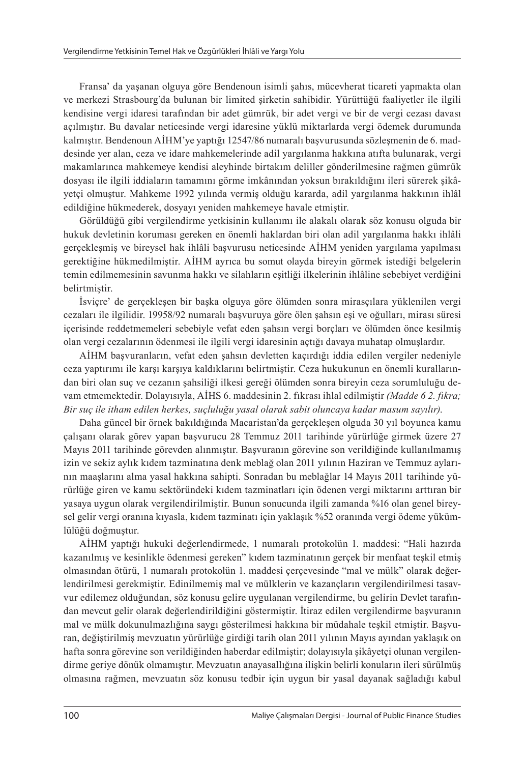Fransa' da yaşanan olguya göre Bendenoun isimli şahıs, mücevherat ticareti yapmakta olan ve merkezi Strasbourg'da bulunan bir limited şirketin sahibidir. Yürüttüğü faaliyetler ile ilgili kendisine vergi idaresi tarafından bir adet gümrük, bir adet vergi ve bir de vergi cezası davası açılmıştır. Bu davalar neticesinde vergi idaresine yüklü miktarlarda vergi ödemek durumunda kalmıştır. Bendenoun AİHM'ye yaptığı 12547/86 numaralı başvurusunda sözleşmenin de 6. maddesinde yer alan, ceza ve idare mahkemelerinde adil yargılanma hakkına atıfta bulunarak, vergi makamlarınca mahkemeye kendisi aleyhinde birtakım deliller gönderilmesine rağmen gümrük dosyası ile ilgili iddiaların tamamını görme imkânından yoksun bırakıldığını ileri sürerek şikâyetçi olmuştur. Mahkeme 1992 yılında vermiş olduğu kararda, adil yargılanma hakkının ihlâl edildiğine hükmederek, dosyayı yeniden mahkemeye havale etmiştir.

Görüldüğü gibi vergilendirme yetkisinin kullanımı ile alakalı olarak söz konusu olguda bir hukuk devletinin koruması gereken en önemli haklardan biri olan adil yargılanma hakkı ihlâli gerçekleşmiş ve bireysel hak ihlâli başvurusu neticesinde AİHM yeniden yargılama yapılması gerektiğine hükmedilmiştir. AİHM ayrıca bu somut olayda bireyin görmek istediği belgelerin temin edilmemesinin savunma hakkı ve silahların eşitliği ilkelerinin ihlâline sebebiyet verdiğini belirtmiştir.

İsviçre' de gerçekleşen bir başka olguya göre ölümden sonra mirasçılara yüklenilen vergi cezaları ile ilgilidir. 19958/92 numaralı başvuruya göre ölen şahsın eşi ve oğulları, mirası süresi içerisinde reddetmemeleri sebebiyle vefat eden şahsın vergi borçları ve ölümden önce kesilmiş olan vergi cezalarının ödenmesi ile ilgili vergi idaresinin açtığı davaya muhatap olmuşlardır.

AİHM başvuranların, vefat eden şahsın devletten kaçırdığı iddia edilen vergiler nedeniyle ceza yaptırımı ile karşı karşıya kaldıklarını belirtmiştir. Ceza hukukunun en önemli kurallarından biri olan suç ve cezanın şahsiliği ilkesi gereği ölümden sonra bireyin ceza sorumluluğu devam etmemektedir. Dolayısıyla, AİHS 6. maddesinin 2. fıkrası ihlal edilmiştir *(Madde 6 2. fıkra; Bir suç ile itham edilen herkes, suçluluğu yasal olarak sabit oluncaya kadar masum sayılır)*.

Daha güncel bir örnek bakıldığında Macaristan'da gerçekleşen olguda 30 yıl boyunca kamu çalışanı olarak görev yapan başvurucu 28 Temmuz 2011 tarihinde yürürlüğe girmek üzere 27 Mayıs 2011 tarihinde görevden alınmıştır. Başvuranın görevine son verildiğinde kullanılmamış izin ve sekiz aylık kıdem tazminatına denk meblağ olan 2011 yılının Haziran ve Temmuz aylarının maaşlarını alma yasal hakkına sahipti. Sonradan bu meblağlar 14 Mayıs 2011 tarihinde yürürlüğe giren ve kamu sektöründeki kıdem tazminatları için ödenen vergi miktarını arttıran bir yasaya uygun olarak vergilendirilmiştir. Bunun sonucunda ilgili zamanda %16 olan genel bireysel gelir vergi oranına kıyasla, kıdem tazminatı için yaklaşık %52 oranında vergi ödeme yükümlülüğü doğmuştur.

AİHM yaptığı hukuki değerlendirmede, 1 numaralı protokolün 1. maddesi: "Hali hazırda kazanılmış ve kesinlikle ödenmesi gereken" kıdem tazminatının gerçek bir menfaat teşkil etmiş olmasından ötürü, 1 numaralı protokolün 1. maddesi çerçevesinde "mal ve mülk" olarak değerlendirilmesi gerekmiştir. Edinilmemiş mal ve mülklerin ve kazançların vergilendirilmesi tasavvur edilemez olduğundan, söz konusu gelire uygulanan vergilendirme, bu gelirin Devlet tarafından mevcut gelir olarak değerlendirildiğini göstermiştir. İtiraz edilen vergilendirme başvuranın mal ve mülk dokunulmazlığına saygı gösterilmesi hakkına bir müdahale teşkil etmiştir. Başvuran, değiştirilmiş mevzuatın yürürlüğe girdiği tarih olan 2011 yılının Mayıs ayından yaklaşık on hafta sonra görevine son verildiğinden haberdar edilmiştir; dolayısıyla şikâyetçi olunan vergilendirme geriye dönük olmamıştır. Mevzuatın anayasallığına ilişkin belirli konuların ileri sürülmüş olmasına rağmen, mevzuatın söz konusu tedbir için uygun bir yasal dayanak sağladığı kabul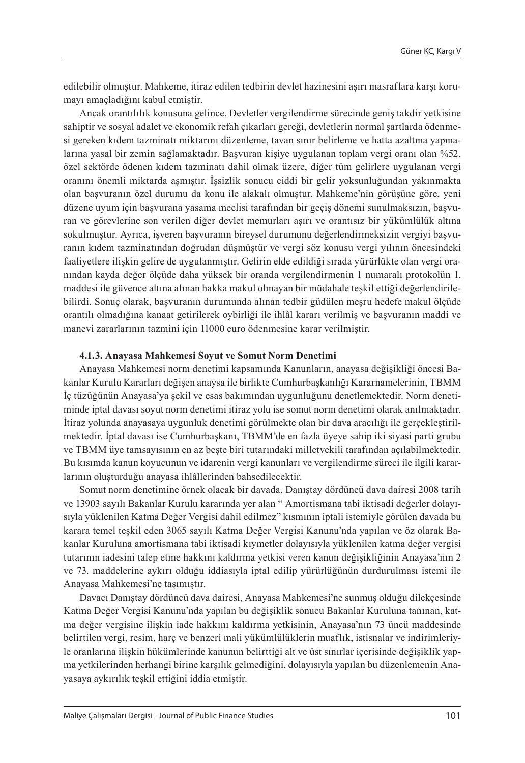edilebilir olmuştur. Mahkeme, itiraz edilen tedbirin devlet hazinesini aşırı masraflara karşı korumayı amaçladığını kabul etmiştir.

Ancak orantılılık konusuna gelince, Devletler vergilendirme sürecinde geniş takdir yetkisine sahiptir ve sosyal adalet ve ekonomik refah çıkarları gereği, devletlerin normal şartlarda ödenmesi gereken kıdem tazminatı miktarını düzenleme, tavan sınır belirleme ve hatta azaltma yapmalarına yasal bir zemin sağlamaktadır. Başvuran kişiye uygulanan toplam vergi oranı olan %52, özel sektörde ödenen kıdem tazminatı dahil olmak üzere, diğer tüm gelirlere uygulanan vergi oranını önemli miktarda aşmıştır. İşsizlik sonucu ciddi bir gelir yoksunluğundan yakınmakta olan başvuranın özel durumu da konu ile alakalı olmuştur. Mahkeme'nin görüşüne göre, yeni düzene uyum için başvurana yasama meclisi tarafından bir geçiş dönemi sunulmaksızın, başvuran ve görevlerine son verilen diğer devlet memurları aşırı ve orantısız bir yükümlülük altına sokulmuştur. Ayrıca, işveren başvuranın bireysel durumunu değerlendirmeksizin vergiyi başvuranın kıdem tazminatından doğrudan düşmüştür ve vergi söz konusu vergi yılının öncesindeki faaliyetlere ilişkin gelire de uygulanmıştır. Gelirin elde edildiği sırada yürürlükte olan vergi oranından kayda değer ölçüde daha yüksek bir oranda vergilendirmenin 1 numaralı protokolün 1. maddesi ile güvence altına alınan hakka makul olmayan bir müdahale teşkil ettiği değerlendirilebilirdi. Sonuç olarak, başvuranın durumunda alınan tedbir güdülen meşru hedefe makul ölçüde orantılı olmadığına kanaat getirilerek oybirliği ile ihlâl kararı verilmiş ve başvuranın maddi ve manevi zararlarının tazmini için 11000 euro ödenmesine karar verilmiştir.

#### **4.1.3. Anayasa Mahkemesi Soyut ve Somut Norm Denetimi**

Anayasa Mahkemesi norm denetimi kapsamında Kanunların, anayasa değişikliği öncesi Bakanlar Kurulu Kararları değişen anaysa ile birlikte Cumhurbaşkanlığı Kararnamelerinin, TBMM İç tüzüğünün Anayasa'ya şekil ve esas bakımından uygunluğunu denetlemektedir. Norm denetiminde iptal davası soyut norm denetimi itiraz yolu ise somut norm denetimi olarak anılmaktadır. İtiraz yolunda anayasaya uygunluk denetimi görülmekte olan bir dava aracılığı ile gerçekleştirilmektedir. İptal davası ise Cumhurbaşkanı, TBMM'de en fazla üyeye sahip iki siyasi parti grubu ve TBMM üye tamsayısının en az beşte biri tutarındaki milletvekili tarafından açılabilmektedir. Bu kısımda kanun koyucunun ve idarenin vergi kanunları ve vergilendirme süreci ile ilgili kararlarının oluşturduğu anayasa ihlâllerinden bahsedilecektir.

Somut norm denetimine örnek olacak bir davada, Danıştay dördüncü dava dairesi 2008 tarih ve 13903 sayılı Bakanlar Kurulu kararında yer alan " Amortismana tabi iktisadi değerler dolayısıyla yüklenilen Katma Değer Vergisi dahil edilmez" kısmının iptali istemiyle görülen davada bu karara temel teşkil eden 3065 sayılı Katma Değer Vergisi Kanunu'nda yapılan ve öz olarak Bakanlar Kuruluna amortismana tabi iktisadi kıymetler dolayısıyla yüklenilen katma değer vergisi tutarının iadesini talep etme hakkını kaldırma yetkisi veren kanun değişikliğinin Anayasa'nın 2 ve 73. maddelerine aykırı olduğu iddiasıyla iptal edilip yürürlüğünün durdurulması istemi ile Anayasa Mahkemesi'ne taşımıştır.

Davacı Danıştay dördüncü dava dairesi, Anayasa Mahkemesi'ne sunmuş olduğu dilekçesinde Katma Değer Vergisi Kanunu'nda yapılan bu değişiklik sonucu Bakanlar Kuruluna tanınan, katma değer vergisine ilişkin iade hakkını kaldırma yetkisinin, Anayasa'nın 73 üncü maddesinde belirtilen vergi, resim, harç ve benzeri mali yükümlülüklerin muaflık, istisnalar ve indirimleriyle oranlarına ilişkin hükümlerinde kanunun belirttiği alt ve üst sınırlar içerisinde değişiklik yapma yetkilerinden herhangi birine karşılık gelmediğini, dolayısıyla yapılan bu düzenlemenin Anayasaya aykırılık teşkil ettiğini iddia etmiştir.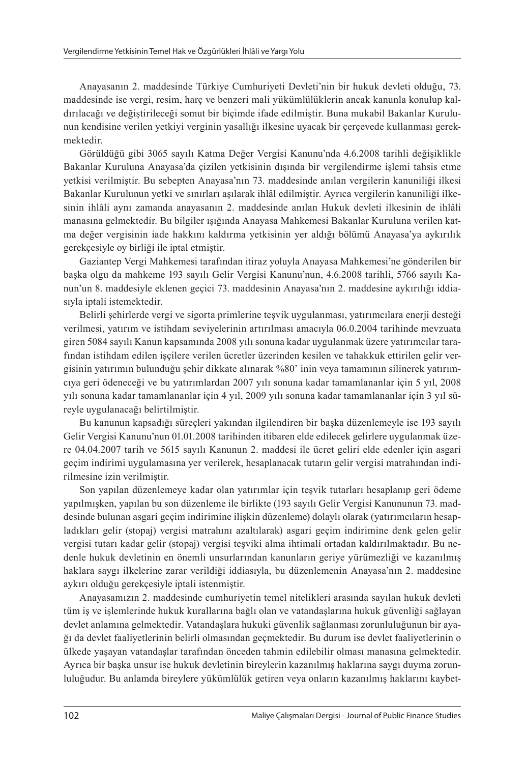Anayasanın 2. maddesinde Türkiye Cumhuriyeti Devleti'nin bir hukuk devleti olduğu, 73. maddesinde ise vergi, resim, harç ve benzeri mali yükümlülüklerin ancak kanunla konulup kaldırılacağı ve değiştirileceği somut bir biçimde ifade edilmiştir. Buna mukabil Bakanlar Kurulunun kendisine verilen yetkiyi verginin yasallığı ilkesine uyacak bir çerçevede kullanması gerekmektedir.

Görüldüğü gibi 3065 sayılı Katma Değer Vergisi Kanunu'nda 4.6.2008 tarihli değişiklikle Bakanlar Kuruluna Anayasa'da çizilen yetkisinin dışında bir vergilendirme işlemi tahsis etme yetkisi verilmiştir. Bu sebepten Anayasa'nın 73. maddesinde anılan vergilerin kanuniliği ilkesi Bakanlar Kurulunun yetki ve sınırları aşılarak ihlâl edilmiştir. Ayrıca vergilerin kanuniliği ilkesinin ihlâli aynı zamanda anayasanın 2. maddesinde anılan Hukuk devleti ilkesinin de ihlâli manasına gelmektedir. Bu bilgiler ışığında Anayasa Mahkemesi Bakanlar Kuruluna verilen katma değer vergisinin iade hakkını kaldırma yetkisinin yer aldığı bölümü Anayasa'ya aykırılık gerekçesiyle oy birliği ile iptal etmiştir.

Gaziantep Vergi Mahkemesi tarafından itiraz yoluyla Anayasa Mahkemesi'ne gönderilen bir başka olgu da mahkeme 193 sayılı Gelir Vergisi Kanunu'nun, 4.6.2008 tarihli, 5766 sayılı Kanun'un 8. maddesiyle eklenen geçici 73. maddesinin Anayasa'nın 2. maddesine aykırılığı iddiasıyla iptali istemektedir.

Belirli şehirlerde vergi ve sigorta primlerine teşvik uygulanması, yatırımcılara enerji desteği verilmesi, yatırım ve istihdam seviyelerinin artırılması amacıyla 06.0.2004 tarihinde mevzuata giren 5084 sayılı Kanun kapsamında 2008 yılı sonuna kadar uygulanmak üzere yatırımcılar tarafından istihdam edilen işçilere verilen ücretler üzerinden kesilen ve tahakkuk ettirilen gelir vergisinin yatırımın bulunduğu şehir dikkate alınarak %80' inin veya tamamının silinerek yatırımcıya geri ödeneceği ve bu yatırımlardan 2007 yılı sonuna kadar tamamlananlar için 5 yıl, 2008 yılı sonuna kadar tamamlananlar için 4 yıl, 2009 yılı sonuna kadar tamamlananlar için 3 yıl süreyle uygulanacağı belirtilmiştir.

Bu kanunun kapsadığı süreçleri yakından ilgilendiren bir başka düzenlemeyle ise 193 sayılı Gelir Vergisi Kanunu'nun 01.01.2008 tarihinden itibaren elde edilecek gelirlere uygulanmak üzere 04.04.2007 tarih ve 5615 sayılı Kanunun 2. maddesi ile ücret geliri elde edenler için asgari geçim indirimi uygulamasına yer verilerek, hesaplanacak tutarın gelir vergisi matrahından indirilmesine izin verilmiştir.

Son yapılan düzenlemeye kadar olan yatırımlar için teşvik tutarları hesaplanıp geri ödeme yapılmışken, yapılan bu son düzenleme ile birlikte (193 sayılı Gelir Vergisi Kanununun 73. maddesinde bulunan asgari geçim indirimine ilişkin düzenleme) dolaylı olarak (yatırımcıların hesapladıkları gelir (stopaj) vergisi matrahını azaltılarak) asgari geçim indirimine denk gelen gelir vergisi tutarı kadar gelir (stopaj) vergisi teşviki alma ihtimali ortadan kaldırılmaktadır. Bu nedenle hukuk devletinin en önemli unsurlarından kanunların geriye yürümezliği ve kazanılmış haklara saygı ilkelerine zarar verildiği iddiasıyla, bu düzenlemenin Anayasa'nın 2. maddesine aykırı olduğu gerekçesiyle iptali istenmiştir.

Anayasamızın 2. maddesinde cumhuriyetin temel nitelikleri arasında sayılan hukuk devleti tüm iş ve işlemlerinde hukuk kurallarına bağlı olan ve vatandaşlarına hukuk güvenliği sağlayan devlet anlamına gelmektedir. Vatandaşlara hukuki güvenlik sağlanması zorunluluğunun bir ayağı da devlet faaliyetlerinin belirli olmasından geçmektedir. Bu durum ise devlet faaliyetlerinin o ülkede yaşayan vatandaşlar tarafından önceden tahmin edilebilir olması manasına gelmektedir. Ayrıca bir başka unsur ise hukuk devletinin bireylerin kazanılmış haklarına saygı duyma zorunluluğudur. Bu anlamda bireylere yükümlülük getiren veya onların kazanılmış haklarını kaybet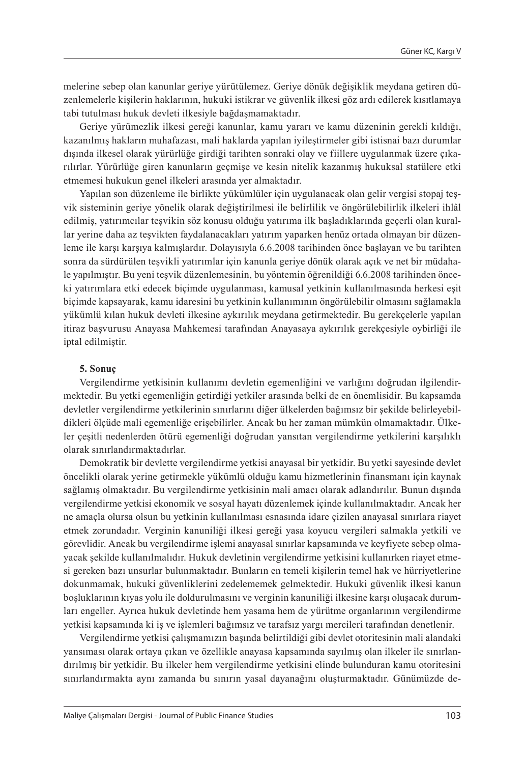melerine sebep olan kanunlar geriye yürütülemez. Geriye dönük değişiklik meydana getiren düzenlemelerle kişilerin haklarının, hukuki istikrar ve güvenlik ilkesi göz ardı edilerek kısıtlamaya tabi tutulması hukuk devleti ilkesiyle bağdaşmamaktadır.

Geriye yürümezlik ilkesi gereği kanunlar, kamu yararı ve kamu düzeninin gerekli kıldığı, kazanılmış hakların muhafazası, mali haklarda yapılan iyileştirmeler gibi istisnai bazı durumlar dışında ilkesel olarak yürürlüğe girdiği tarihten sonraki olay ve fiillere uygulanmak üzere çıkarılırlar. Yürürlüğe giren kanunların geçmişe ve kesin nitelik kazanmış hukuksal statülere etki etmemesi hukukun genel ilkeleri arasında yer almaktadır.

Yapılan son düzenleme ile birlikte yükümlüler için uygulanacak olan gelir vergisi stopaj teşvik sisteminin geriye yönelik olarak değiştirilmesi ile belirlilik ve öngörülebilirlik ilkeleri ihlâl edilmiş, yatırımcılar teşvikin söz konusu olduğu yatırıma ilk başladıklarında geçerli olan kurallar yerine daha az teşvikten faydalanacakları yatırım yaparken henüz ortada olmayan bir düzenleme ile karşı karşıya kalmışlardır. Dolayısıyla 6.6.2008 tarihinden önce başlayan ve bu tarihten sonra da sürdürülen teşvikli yatırımlar için kanunla geriye dönük olarak açık ve net bir müdahale yapılmıştır. Bu yeni teşvik düzenlemesinin, bu yöntemin öğrenildiği 6.6.2008 tarihinden önceki yatırımlara etki edecek biçimde uygulanması, kamusal yetkinin kullanılmasında herkesi eşit biçimde kapsayarak, kamu idaresini bu yetkinin kullanımının öngörülebilir olmasını sağlamakla yükümlü kılan hukuk devleti ilkesine aykırılık meydana getirmektedir. Bu gerekçelerle yapılan itiraz başvurusu Anayasa Mahkemesi tarafından Anayasaya aykırılık gerekçesiyle oybirliği ile iptal edilmiştir.

#### **5. Sonuç**

Vergilendirme yetkisinin kullanımı devletin egemenliğini ve varlığını doğrudan ilgilendirmektedir. Bu yetki egemenliğin getirdiği yetkiler arasında belki de en önemlisidir. Bu kapsamda devletler vergilendirme yetkilerinin sınırlarını diğer ülkelerden bağımsız bir şekilde belirleyebildikleri ölçüde mali egemenliğe erişebilirler. Ancak bu her zaman mümkün olmamaktadır. Ülkeler çeşitli nedenlerden ötürü egemenliği doğrudan yansıtan vergilendirme yetkilerini karşılıklı olarak sınırlandırmaktadırlar.

Demokratik bir devlette vergilendirme yetkisi anayasal bir yetkidir. Bu yetki sayesinde devlet öncelikli olarak yerine getirmekle yükümlü olduğu kamu hizmetlerinin finansmanı için kaynak sağlamış olmaktadır. Bu vergilendirme yetkisinin mali amacı olarak adlandırılır. Bunun dışında vergilendirme yetkisi ekonomik ve sosyal hayatı düzenlemek içinde kullanılmaktadır. Ancak her ne amaçla olursa olsun bu yetkinin kullanılması esnasında idare çizilen anayasal sınırlara riayet etmek zorundadır. Verginin kanuniliği ilkesi gereği yasa koyucu vergileri salmakla yetkili ve görevlidir. Ancak bu vergilendirme işlemi anayasal sınırlar kapsamında ve keyfiyete sebep olmayacak şekilde kullanılmalıdır. Hukuk devletinin vergilendirme yetkisini kullanırken riayet etmesi gereken bazı unsurlar bulunmaktadır. Bunların en temeli kişilerin temel hak ve hürriyetlerine dokunmamak, hukuki güvenliklerini zedelememek gelmektedir. Hukuki güvenlik ilkesi kanun boşluklarının kıyas yolu ile doldurulmasını ve verginin kanuniliği ilkesine karşı oluşacak durumları engeller. Ayrıca hukuk devletinde hem yasama hem de yürütme organlarının vergilendirme yetkisi kapsamında ki iş ve işlemleri bağımsız ve tarafsız yargı mercileri tarafından denetlenir.

Vergilendirme yetkisi çalışmamızın başında belirtildiği gibi devlet otoritesinin mali alandaki yansıması olarak ortaya çıkan ve özellikle anayasa kapsamında sayılmış olan ilkeler ile sınırlandırılmış bir yetkidir. Bu ilkeler hem vergilendirme yetkisini elinde bulunduran kamu otoritesini sınırlandırmakta aynı zamanda bu sınırın yasal dayanağını oluşturmaktadır. Günümüzde de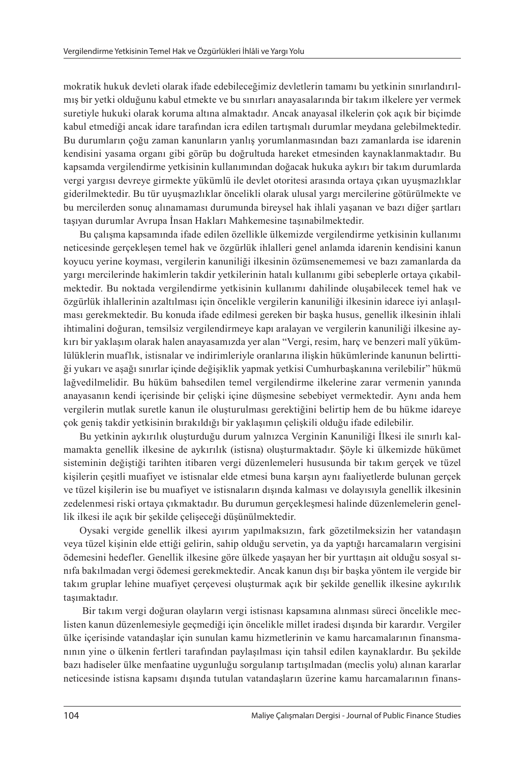mokratik hukuk devleti olarak ifade edebileceğimiz devletlerin tamamı bu yetkinin sınırlandırılmış bir yetki olduğunu kabul etmekte ve bu sınırları anayasalarında bir takım ilkelere yer vermek suretiyle hukuki olarak koruma altına almaktadır. Ancak anayasal ilkelerin çok açık bir biçimde kabul etmediği ancak idare tarafından icra edilen tartışmalı durumlar meydana gelebilmektedir. Bu durumların çoğu zaman kanunların yanlış yorumlanmasından bazı zamanlarda ise idarenin kendisini yasama organı gibi görüp bu doğrultuda hareket etmesinden kaynaklanmaktadır. Bu kapsamda vergilendirme yetkisinin kullanımından doğacak hukuka aykırı bir takım durumlarda vergi yargısı devreye girmekte yükümlü ile devlet otoritesi arasında ortaya çıkan uyuşmazlıklar giderilmektedir. Bu tür uyuşmazlıklar öncelikli olarak ulusal yargı mercilerine götürülmekte ve bu mercilerden sonuç alınamaması durumunda bireysel hak ihlali yaşanan ve bazı diğer şartları taşıyan durumlar Avrupa İnsan Hakları Mahkemesine taşınabilmektedir.

Bu çalışma kapsamında ifade edilen özellikle ülkemizde vergilendirme yetkisinin kullanımı neticesinde gerçekleşen temel hak ve özgürlük ihlalleri genel anlamda idarenin kendisini kanun koyucu yerine koyması, vergilerin kanuniliği ilkesinin özümsenememesi ve bazı zamanlarda da yargı mercilerinde hakimlerin takdir yetkilerinin hatalı kullanımı gibi sebeplerle ortaya çıkabilmektedir. Bu noktada vergilendirme yetkisinin kullanımı dahilinde oluşabilecek temel hak ve özgürlük ihlallerinin azaltılması için öncelikle vergilerin kanuniliği ilkesinin idarece iyi anlaşılması gerekmektedir. Bu konuda ifade edilmesi gereken bir başka husus, genellik ilkesinin ihlali ihtimalini doğuran, temsilsiz vergilendirmeye kapı aralayan ve vergilerin kanuniliği ilkesine aykırı bir yaklaşım olarak halen anayasamızda yer alan "Vergi, resim, harç ve benzeri malî yükümlülüklerin muaflık, istisnalar ve indirimleriyle oranlarına ilişkin hükümlerinde kanunun belirttiği yukarı ve aşağı sınırlar içinde değişiklik yapmak yetkisi Cumhurbaşkanına verilebilir" hükmü lağvedilmelidir. Bu hüküm bahsedilen temel vergilendirme ilkelerine zarar vermenin yanında anayasanın kendi içerisinde bir çelişki içine düşmesine sebebiyet vermektedir. Aynı anda hem vergilerin mutlak suretle kanun ile oluşturulması gerektiğini belirtip hem de bu hükme idareye çok geniş takdir yetkisinin bırakıldığı bir yaklaşımın çelişkili olduğu ifade edilebilir.

Bu yetkinin aykırılık oluşturduğu durum yalnızca Verginin Kanuniliği İlkesi ile sınırlı kalmamakta genellik ilkesine de aykırılık (istisna) oluşturmaktadır. Şöyle ki ülkemizde hükümet sisteminin değiştiği tarihten itibaren vergi düzenlemeleri hususunda bir takım gerçek ve tüzel kişilerin çeşitli muafiyet ve istisnalar elde etmesi buna karşın aynı faaliyetlerde bulunan gerçek ve tüzel kişilerin ise bu muafiyet ve istisnaların dışında kalması ve dolayısıyla genellik ilkesinin zedelenmesi riski ortaya çıkmaktadır. Bu durumun gerçekleşmesi halinde düzenlemelerin genellik ilkesi ile açık bir şekilde çelişeceği düşünülmektedir.

Oysaki vergide genellik ilkesi ayırım yapılmaksızın, fark gözetilmeksizin her vatandaşın veya tüzel kişinin elde ettiği gelirin, sahip olduğu servetin, ya da yaptığı harcamaların vergisini ödemesini hedefler. Genellik ilkesine göre ülkede yaşayan her bir yurttaşın ait olduğu sosyal sınıfa bakılmadan vergi ödemesi gerekmektedir. Ancak kanun dışı bir başka yöntem ile vergide bir takım gruplar lehine muafiyet çerçevesi oluşturmak açık bir şekilde genellik ilkesine aykırılık taşımaktadır.

 Bir takım vergi doğuran olayların vergi istisnası kapsamına alınması süreci öncelikle meclisten kanun düzenlemesiyle geçmediği için öncelikle millet iradesi dışında bir karardır. Vergiler ülke içerisinde vatandaşlar için sunulan kamu hizmetlerinin ve kamu harcamalarının finansmanının yine o ülkenin fertleri tarafından paylaşılması için tahsil edilen kaynaklardır. Bu şekilde bazı hadiseler ülke menfaatine uygunluğu sorgulanıp tartışılmadan (meclis yolu) alınan kararlar neticesinde istisna kapsamı dışında tutulan vatandaşların üzerine kamu harcamalarının finans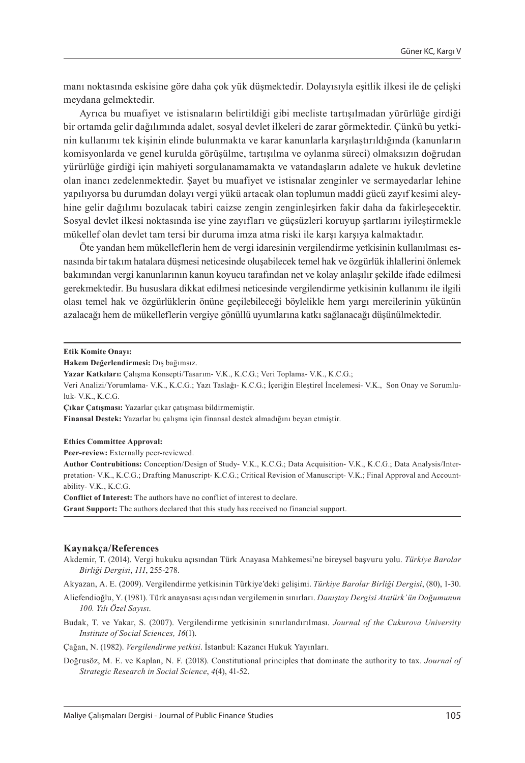manı noktasında eskisine göre daha çok yük düşmektedir. Dolayısıyla eşitlik ilkesi ile de çelişki meydana gelmektedir.

Ayrıca bu muafiyet ve istisnaların belirtildiği gibi mecliste tartışılmadan yürürlüğe girdiği bir ortamda gelir dağılımında adalet, sosyal devlet ilkeleri de zarar görmektedir. Çünkü bu yetkinin kullanımı tek kişinin elinde bulunmakta ve karar kanunlarla karşılaştırıldığında (kanunların komisyonlarda ve genel kurulda görüşülme, tartışılma ve oylanma süreci) olmaksızın doğrudan yürürlüğe girdiği için mahiyeti sorgulanamamakta ve vatandaşların adalete ve hukuk devletine olan inancı zedelenmektedir. Şayet bu muafiyet ve istisnalar zenginler ve sermayedarlar lehine yapılıyorsa bu durumdan dolayı vergi yükü artacak olan toplumun maddi gücü zayıf kesimi aleyhine gelir dağılımı bozulacak tabiri caizse zengin zenginleşirken fakir daha da fakirleşecektir. Sosyal devlet ilkesi noktasında ise yine zayıfları ve güçsüzleri koruyup şartlarını iyileştirmekle mükellef olan devlet tam tersi bir duruma imza atma riski ile karşı karşıya kalmaktadır.

Öte yandan hem mükelleflerin hem de vergi idaresinin vergilendirme yetkisinin kullanılması esnasında bir takım hatalara düşmesi neticesinde oluşabilecek temel hak ve özgürlük ihlallerini önlemek bakımından vergi kanunlarının kanun koyucu tarafından net ve kolay anlaşılır şekilde ifade edilmesi gerekmektedir. Bu hususlara dikkat edilmesi neticesinde vergilendirme yetkisinin kullanımı ile ilgili olası temel hak ve özgürlüklerin önüne geçilebileceği böylelikle hem yargı mercilerinin yükünün azalacağı hem de mükelleflerin vergiye gönüllü uyumlarına katkı sağlanacağı düşünülmektedir.

**Etik Komite Onayı:** 

**Hakem Değerlendirmesi:** Dış bağımsız.

**Çıkar Çatışması:** Yazarlar çıkar çatışması bildirmemiştir.

**Finansal Destek:** Yazarlar bu çalışma için finansal destek almadığını beyan etmiştir.

**Ethics Committee Approval:** 

**Peer-review:** Externally peer-reviewed.

**Author Contrubitions:** Conception/Design of Study- V.K., K.C.G.; Data Acquisition- V.K., K.C.G.; Data Analysis/Interpretation- V.K., K.C.G.; Drafting Manuscript- K.C.G.; Critical Revision of Manuscript- V.K.; Final Approval and Accountability- V.K., K.C.G.

**Conflict of Interest:** The authors have no conflict of interest to declare.

**Grant Support:** The authors declared that this study has received no financial support.

#### **Kaynakça/References**

Akdemir, T. (2014). Vergi hukuku açısından Türk Anayasa Mahkemesi'ne bireysel başvuru yolu. *Türkiye Barolar Birliği Dergisi*, *111*, 255-278.

Akyazan, A. E. (2009). Vergilendirme yetkisinin Türkiye'deki gelişimi. *Türkiye Barolar Birliği Dergisi*, (80), 1-30.

Aliefendioğlu, Y. (1981). Türk anayasası açısından vergilemenin sınırları. *Danıştay Dergisi Atatürk'ün Doğumunun 100. Yılı Özel Sayısı*.

Budak, T. ve Yakar, S. (2007). Vergilendirme yetkisinin sınırlandırılması. *Journal of the Cukurova University Institute of Social Sciences, 16*(1).

Çağan, N. (1982). *Vergilendirme yetkisi*. İstanbul: Kazancı Hukuk Yayınları.

Doğrusöz, M. E. ve Kaplan, N. F. (2018). Constitutional principles that dominate the authority to tax. *Journal of Strategic Research in Social Science*, *4*(4), 41-52.

**Yazar Katkıları:** Çalışma Konsepti/Tasarım- V.K., K.C.G.; Veri Toplama- V.K., K.C.G.;

Veri Analizi/Yorumlama- V.K., K.C.G.; Yazı Taslağı- K.C.G.; İçeriğin Eleştirel İncelemesi- V.K., Son Onay ve Sorumluluk- V.K., K.C.G.